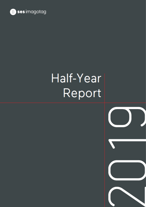

# Half-Year Report

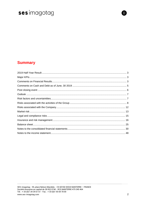### **Summary**

M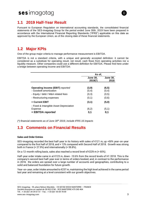

### <span id="page-2-0"></span>**1.1 2019 Half-Year Result**

Pursuant to European Regulation on international accounting standards, the consolidated financial statements of the SES-imagotag Group for the period ended June 30th, 2019 have been prepared in accordance with the International Financial Reporting Standards ("IFRS") applicable on this date as approved by the European Union, as of the closing date of these financial statements.

### <span id="page-2-1"></span>**1.2 Major KPIs**

One of the group major criteria to manage performance measurement is EBITDA.

EBITDA is not a standard criteria, with a unique and generally accepted definition: it cannot be considered as a substitute for operating result, net result, cash flows from operating activities nor a liquidity measure. Other companies could use a different definition for EBITDA. Please find here under a bridge between operating income and EBITDA:

|                                                                           | As of,                       |                         |  |
|---------------------------------------------------------------------------|------------------------------|-------------------------|--|
|                                                                           | <b>June 30,</b><br>$2019(*)$ | <b>June 30,</b><br>2018 |  |
| <b>Operating Income (EBIT) reported</b><br>- Goodwill amortization        | (3,9)<br>(0,4)               | (6, 5)<br>(0,4)         |  |
| - Equity / debt / M&A related fees<br>- Restructuring expenses            | (0,3)<br>(0,1)               | (0,5)<br>(0,6)          |  |
| $=$ Current EBIT                                                          | (3,1)                        | (5,0)                   |  |
| - Fixed & Intangible Asset Depreciation<br>Expense<br>$=$ EBITDA reported | (6,2)<br>3,1                 | (5,1)<br>0,1            |  |

<span id="page-2-2"></span>*(\*) financial statements as of June 30th 2019, include IFRS 16 impacts*

### **1.3 Comments on Financial Results**

#### **Sales and Order Entries**

SES-imagotag recorded the best half-year in its history with sales of €121 m, up +50% year-on-year compared to the first half of 2018, and + 13% compared with Second Half of 2018. Growth was strong both in France (+ 27.9%) and internationally (+ 59.8%).

On a 12-month rolling basis, sales also reached a record level of  $\epsilon$ 229 m (+ 65%).

Half-year order intake came in at €123 m, down -10.6% from the record levels of H1 2018. This is the company's second best half-year ever in terms of orders booked, and, in contrast to the performance in 2018, the orders are spread over a large number of accounts and geographies, contributing to a solid and balanced foundation for future growth.

Year-on-year, order intake amounted to €237 m, maintaining the high level achieved in the same period last year and remaining at a level consistent with our growth objectives.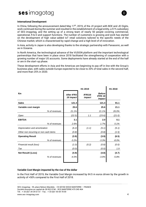

 $\blacksquare$ 

#### **International Development**

In China, following the announcement dated May 17<sup>th</sup>, 2019, of the JV project with BOE and JD Digits, work continued during the summer and resulted in the establishment of a legal entity, a 51% subsidiary of SES-imagotag, and the setting up of a strong team of nearly 50 people covering commercial, operational, R & D and support functions. The number of customers is growing and work has started on the development of high value-added IoT retail solutions tailored to the specific needs of the Chinese market, which is characterised by rapid change and a high level of of innovation.

In Asia, activity in Japan is also developing thanks to the strategic partnership with Panasonic, as well as in Oceania.

In North America, the technological advance of the VUSION platform and the important technological partnerships that have been in place since 2018 facilitated the strengthening of cooperation with a growing number of major US accounts. Some deployments have already started at the end of the half or are in the start-up phase.

These development efforts in Asia and the Americas are beginning to pay off in line with the Group's business plan, with sales outside Europe expected to be close to 20% of total sales in the second half, and more than 25% in 2020.

|                                       | H1 2019                        |                              |                                           |          |
|---------------------------------------|--------------------------------|------------------------------|-------------------------------------------|----------|
| €m                                    | <b>After IFRS</b><br>16 impact | IFRS <sub>16</sub><br>impact | <b>Before</b><br><b>IFRS 16</b><br>impact |          |
| <b>Sales</b>                          | 121.4                          |                              | 121.4                                     | 81.1     |
| Variable cost margin                  | 25.6                           |                              | 25.6                                      | 21.1     |
| % of revenues                         | 21.1%                          |                              | 21.1%                                     | 26.0%    |
| Opex                                  | (22.5)                         | 1.1                          | (23.6)                                    | (21.0)   |
| <b>EBITDA</b>                         | 3.1                            |                              | 2.0                                       | 0.1      |
| % of revenues                         | 2.6%                           |                              | 1.7%                                      | 0.1%     |
| Depreciation and amortization         | (6.2)                          | (1.1)                        | (5.1)                                     | (5.1)    |
| Other non recurring or non cash items | (0.8)                          |                              | (0.8)                                     | (1.5)    |
| <b>Operating Result</b>               | (3.9)                          |                              | (3.9)                                     | (6.5)    |
| % of revenues                         | $-3.2%$                        |                              | $-3.3%$                                   | $-8.0\%$ |
| Financial result (loss)               | (1.0)                          | (0.2)                        | (0.8)                                     | (0.0)    |
| Tax                                   | (0.0)                          |                              | (0.0)                                     | 1.9      |
| Net Result/ (Loss)                    | (4.9)                          |                              | (4.8)                                     | (4.7)    |
| % of revenues                         | $-4.0%$                        |                              | $-3.9%$                                   | $-5.8%$  |
|                                       |                                |                              |                                           |          |

#### **Variable Cost Margin impacted by the rise of the dollar**

In the First Half of 2019, the Variable Cost Margin increased by €4.5 m euros driven by the growth in activity of +50% compared to the First Half of 2018.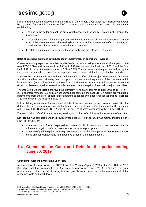

Despite that increase in absolute terms, the ratio of the Variable Cost Margin to Revenues was down by 4.9 points from 26% in the First Half of 2018 to 21.1% in the First Half of 2019. This decrease is explained by:

- The rise in the dollar against the euro, which accounted for nearly 3 points in the drop in the margin rate.
- The smaller share of higher margin service revenues in the overall mix. While recurring revenue from high-margin services is increasing both in value and as a percentage of total revenue, H1 2019 includes a lower amount of installations revenues.
- In total, excluding currency effects, the drop in the margin rate was -1.9 points.

#### **Ratio of operating expenses down because of improvement in operational leverage**

Current operating expenses on a like-for-like basis, i.e before taking into account the impact of the new IFRS 16 Standard, increased from € 21 m to € 23.6 m between the First Half of 2018 and the First Half of 2019, i.e. an increase in value of 12% (€2.6M). The increase is entirely accounted for by the increase in personnel costs while other expenses have remained stable between the two periods.

The growth in staff costs is mainly due to an increase in staffing of the Project Management and Sales functions and has been driven by need to support the international expansion of the company, which is accelerating (international sales up + 86% in H1), and to serve the North American market where the Group has been engaged for several months in several intensive pilot phases with major US retailers.

The Operating Expense Ratio improved substantially, from 25.9% of revenue in H1 2018 to 19.4% in H1 2019, an improvement of 6.5 points. As the Group has stated in the past, EBITDA margin growth should partly come from the better absorption of operating expenses by higher revenues (operating leverage). This is the case in the First Half of 2019.

In total, taking into account the combined effects of the improvement in the current expense ratio, the deterioration in the margin rate mainly due to currency effects, as well as the impact of the inclusion of €1.1 m of IFRS 16 impact, EBITDA was €3.1 m or 2.6% of sales, compared with €0.1 m in H1 2018.

There was a loss of  $\epsilon$ -3.9 m at Operating level against a loss of  $\epsilon$ -6.5 m, an improvement of +  $\epsilon$ 2.6 m.

**Net income** was comparable to the previous year, a loss of 4.9 M euros. It was mainly impacted in the First Half of 2019 by:

- Absence of any further expected tax losses in 2019 that could have been resulted in allowances against deferred taxes as was the case in prior years;
- Absence of positive gains on foreign exchange transactions compared with prior years where gains on such transactions had a positive effect on the financial result.

### <span id="page-4-0"></span>**1.4 Comments on Cash and Debt for the period ending June 30, 2019**

#### **Strong improvement in Operating Cash Flow**

As a result of the improvement in EBITDA and Net Working Capital (NWC), in the First Half of 2019, Operating Cash Flow was positive (+  $\epsilon$ 5 m), a clear improvement on H1 2018 (-  $\epsilon$ 24.3 m). This good performance, in the context of strong top-line growth, was a result of better management of the customer cycle and stock levels.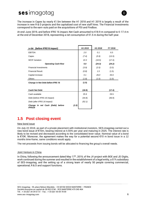

The increase in Capex by nearly €1.5m between the H1 2018 and H1 2019 is largely a result of the increase in new R & D projects and the capitalized cost of new staff hires. The Financial Investments correspond to the earn-outs paid on the acquisitions of PDi and Findbox.

At end-June 2019, and before IFRS 16 impact, Net Cash amounted to €18.9 m compared to €-17.4 m at the end of December 2018, representing a net consumption of €1.5 m during the half-year.

| in €M (before IFRS16 impact)                        | H <sub>1</sub> 2019 | H <sub>1</sub> 2018 | FY 2018 |
|-----------------------------------------------------|---------------------|---------------------|---------|
| <b>EBITDA</b>                                       | 2.0                 | 0.1                 | 6.5     |
| Capex                                               | (7.4)               | (5.9)               | (13.3)  |
| <b>WCR Variation</b>                                | 10.3                | (18.5)              | (17.4)  |
| <b>Operating Cash-flow</b>                          | 5.0                 | (24.3)              | (24.2)  |
| <b>Financial Investments</b>                        | (3.9)               | (2.5)               | (3.3)   |
| <b>Financial Result</b>                             | (0.8)               | 1.5                 | (1.5)   |
| Capital increase                                    | 0.1                 | 26,0                | 26.0    |
| <b>Others</b>                                       | (1.8)               | (1.0)               | (1.0)   |
| Change in Net Debt before IFRS 16                   | (1.5)               |                     |         |
|                                                     |                     |                     |         |
| Cash/Net Debt                                       | (18.9)              |                     | (17.4)  |
| Cash available                                      | 25.9                |                     | 29.5    |
| Debt (before IFRS 16 impact)                        | (44.8)              |                     | (46.9)  |
| Debt (after IFRS 16 impact)                         | (52.1)              |                     |         |
| Change in net Cash (Debt) before<br>(1.5)<br>IFRS16 |                     |                     |         |

### <span id="page-5-0"></span>**1.5 Post closing event**

#### New bond issue

On July 22 2019, as part of a private placement with institutional investors, SES-imagotag carried out a new bond issue of €10m, bearing interest at 4.55% per year and maturing in 2025. The interest rate is likely to be revised and decreased according to the consolidated lever value. Nominal value of a bond is €10K. Moreover, the agreement makes the way for a potential second €10 m bond issue in a 12 months time-frame, same conditions would apply.

The net proceeds from issuing bonds will be allocated to financing the group's overall needs.

#### Joint Venture in China

In China, following the announcement dated May  $17<sup>th</sup>$ , 2019, of the JV project with BOE and JD Digits, work continued during the summer and resulted in the establishment of a legal entity, a 51% subsidiary of SES-imagotag, and the setting up of a strong team of nearly 50 people covering commercial, operational, R & D and support functions.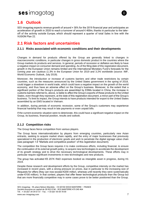

### <span id="page-6-0"></span>**1.6 Outlook**

SES-imagotag expects revenue growth of around + 30% for the 2019 financial year and anticipates an acceleration of growth in 2020 to reach a turnover of around € 400m, thanks in particular to the takeoff of the activity outside Europe, which should represent a quarter of total Sales in line with the VUSION Plan 22.

### <span id="page-6-1"></span>**2.1 Risk factors and uncertainties**

#### **2.1.1 Risks associated with economic conditions and their developments**

Changes in demand for products offered by the Group are generally linked to changes in macroeconomic conditions, in particular changes in gross domestic product in the countries where the Group markets its products and services. In general, periods of recession or deflation are likely to have a negative impact on consumer demand and spending. As of the filing date of this registration document, growth in the European Union remains limited and the International Monetary Fund's forecasts for the coming year are cautious (1.3% in the European Union for 2019 and 3.2% worldwide (source: IMF, World Economic Outlook, July 2019).

Moreover, the introduction or increase of customs barriers and other trade restrictions by certain countries, such as the measures announced by the United States government in the spring of 2018, could trigger a slowdown in world trade, which could have a negative impact on the growth of the world economy, and thus have an adverse effect on the Group's business. Moreover, to the extent that a significant portion of the Group's products are assembled by ESMs located in China, the increase in customs barriers referred to, above, is liable to affect the Group's exports of these products to the United States, even though they represent, at the date of this registration document, a minor part of the Group's business. To limit its impact, the Group intends to have products intended for export to the United States assembled by an EMS located in Vietnam.

In addition, during periods of economic recession, some of the Group's customers may experience financial hardship that may result in late payments or even unpaid bills.

If the current economic situation were to deteriorate, this could have a significant negative impact on the Group, its business, financial position, results and outlook.

#### **2.1.2 Competition risks**

The Group faces fierce competition from various players.

The Group faces internationalization by players from emerging countries, particularly new Asian entrants, seeking to acquire market share rapidly, and the entry of major businesses that previously specialized in the production of electronic goods and wish to penetrate the digital signage value chain (see paragraph 1.6 "Markets and competitive position" of this registration document).

The competition the Group faces requires it to make continuous efforts, including financial, to ensure the continuation of its external growth policy, to acquire new technologies to accelerate the development of its growth strategy and to drive the necessary technological developments. These efforts may in particular require significant investments in new technologies and new products.

The group has activated €5 207K R&D expenses booked as intangible asset in progress, during H1 2019.

Despite these research and development efforts by the Group, competitive intensity on the market has increased in recent years, with a strong pressure on prices, due in particular to the increasing size of Requests for offers (they can now exceed €200 million, whereas until recently they were systematically under €100 million). In that context, players that offer fewer technological products than the Group but that are more financially competitive may in some cases prove to be better positioned than the Group.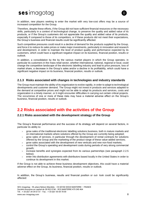

In addition, new players seeking to enter the market with very low-cost offers may be a source of increased competition for the Group.

Therefore, despite these efforts, if the Group did not have sufficient financial resources or the necessary skills, particularly in a context of technological change, to preserve the quality and added value of its products, or if the Group's customers did not appreciate the quality and added value of its products, especially if compared to those of its competitors, or if these products did not meet their expectations, the Group's business and financial results could be significantly affected.

Such competitive pressures could result in a decline of demand for the products supplied by the Group, and force it to reduce its sales prices or make major investments, particularly in innovation and research and development, in order to maintain the level of product quality and performance expected by its customers, which could have a significant negative impact on its business, financial position, results or outlook.

In addition, a consolidation by the by the various market players in which the Group operates, in particular its customers in the mass retail sector, whether international, national, regional or local, could change the competitive landscape of the electronic labelling industry and lead to price pressure, loss of market share, a decrease in the Group's sales and/or a decline in its profitability, which could have a significant negative impact on its business, financial position, results or outlook.

#### **2.1.3 Risks associated with changes in technologies and industry standards**

The Group must maintain the ability of its organization to evolve rapidly, in order to adapt to technological developments and customer demand. The Group might not invest in products and services adapted to the demand at competitive prices and might not be able to adapt its products and services, costs and organization in a timely manner, or it might encounter difficulties in carrying out certain critical projects. The occurrence of one or more of these risks may have a material adverse effect on the Group's business, financial position, results or outlook.

### <span id="page-7-0"></span>**2.2 Risks associated with the activities of the Group**

#### **2.2.1 Risks associated with the development strategy of the Group**

The Group's financial performance and the success of its strategy will depend on several factors, in particular its ability to:

- grow sales of the traditional electronic labelling solutions business, both in mature markets and on international markets where solutions offered by the Group are currently being adopted;
- grow sales of services, in particular through the development of rental contracts for solutions offered by the Group and the marketing of the product range of these value-added services;
- $>$  grow sales associated with the development of new verticals and new non-food markets;
- control the Group's operating and development costs during periods of very strong commercial growth;
- increase benefits and synergies expected from its various partnerships (see paragraph 2.2.5 below);
- enter into distribution agreements with distributors based locally in the United States in order to continue its development in this market.

If the Group is not able to achieve these business development objectives, this could have a material adverse effect on the Group, its business, financial position, results or outlook.

In addition, the Group's business, results and financial position or out-look could be significantly affected: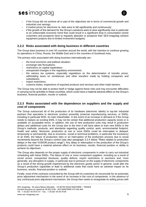

- $\epsilon$  if the Group did not achieve all or part of the objectives set in terms of commercial growth and industrial cost savings;
- $\frac{1}{2}$  if market prices for electronic la- bels were to fall significantly and continuously;
- $\frac{1}{2}$  if the growth of the demand for the Group's solutions were to slow significantly due in particular to an unfavorable economic trend that could result in a significant drop in consumption (some customers and prospects have to regularly abandon or postpone their SES-imagotag solution equipment projects due to limited investment budgets).

#### **2.2.2 Risks associated with doing business in different countries**

The Group does business in over 50 countries around the world, with the intention to continue growing its operations in China, Russia, the Middle East and in the countries of Southeast Asia.

The primary risks associated with doing business internationally are:

- the local economic and political situation;
- $\ge$  exchange rate fluctuations:
- > restrictions on capital repatriation;
- unexpected changes in the regulatory environment;
- the various tax systems, especially regulations on the determination of transfer prices, withholding taxes on remittances and other transfers made by holding companies and subsidiaries;
- > import restrictions:
- customs duties, inspections of exported products and services and other trade barriers.

The Group may not be able to protect itself or hedge against these risks and may encounter difficulties in carrying out its activities in these countries, which could have a material adverse effect on the Group's business, financial position, results or outlook.

#### **2.2.3 Risks associated with the dependence on suppliers and the supply and cost of components**

The Group outsourced all of the production of its hardware (electronic labels) to top-tier industrial partners that specialize in electronic product assembly (external manufacturing services, or EMS), including in particular BOE, its main shareholder. In the event of an increase in demand or if the Group needs to replace an existing EMS, it may not be certain that additional production capacity exists or is available on acceptable terms. In addition, the use of new production units may result in production delays and additional costs for the Group due to the time it will have taken to train new EMSs in the Group's methods, products, and standards regarding quality control, work, environmental footprint, health and safety. Moreover, production at one or more EMSs could be interrupted or delayed, temporarily or permanently, due to economic, social or technical problems, in particular the insolvency of an EMS, the failure of production sites or an interruption of the production process due to social movements beyond the Group's control (see also paragraph 2.2.4 below "Risks related to production delays in the new VUSION product range"). Any delay or interruption in the production of the Group's products could have a material adverse effect on its business, results, financial position or ability to achieve its objectives.

The Group also depends on the proper supply of electronic components in order to carry out industrial scheduling with these EMSs. The failure of one or more component suppliers, including as a result of social unrest, unexpected stockouts, quality defects, export restrictions or sanctions and, more generally, any disruption in supply, in particular due to pressure on the supply of electronic components as a result of the strong growth experienced by the electronic goods sector in general, could alter the Group's production capacities or lead to additional costs that could have an adverse impact on its business, results, financial position or outlook.

Finally, most of the contracts concluded by the Group with its customers do not provide for an automatic price adjustment mechanism in the event of an increase in the cost of components. In the absence of any contractual price adjustment mechanism, the Group then seeks to renegotiate its selling prices with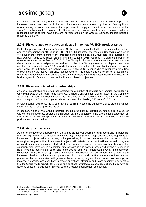

its customers when placing orders or renewing contracts in order to pass on, in whole or in part, the increase in component costs, with the result that there is a more or less long-time lag. Any significant upward change in component costs, due in particular to supply constraints or a concentration of the Group's suppliers, could therefore, if the Group were not able to pass it on to its customers within a reasonable period of time, have a material adverse effect on the Group's business, financial position, results and outlook.

#### **2.2.4 Risks related to production delays in the new VUSION product range**

Part of the production of the Group's new VUSION range is subcontracted to the new industrial partner and majority shareholder of the Group, BOE, at the BOE industrial site located in Chongqing. As a result of delays in the commissioning of the production lines at this site, the Group delayed deliveries of its new VUSION range to its customers du- ring the first half of 2018, resulting in a significant drop in its revenue compared to the first half of 2017. The Chongqing industrial site is now operational, and the Group has also outsourced part of the production of the VUSION range to a second player to be able to meet pro duction needs from 2019 onwards. However, it cannot be ruled out that the Group may once again encounter difficulties in supplying products in the VUSION range due to production difficulties encountered by the above-mentioned subcontractors. This could delay deliveries to its customers, resulting in a decrease in the Group's revenue, which could have a significant negative impact on its business, results, financial position and ability to achieve its objectives.

#### **2.2.5 Risks associated with partnerships**

As part of its activities, the Group has entered into a number of strategic partnerships, particularly in China with BOE Smart Retail (Hong Kong) Co. Limited, a shareholder holding 74,39% in the Company as of 12.31.18, Yuen-Yu Investment Co. Ltd, (renamed after the name Yuanhan Materials Inc in 2019) a subsidiary of the E-Ink Holdings Inc. Group, a shareholder holding 5.98% as of 12.31.18.

In taking certain decisions, the Group may be required to seek the agreement of its partners, whose interests may not be aligned with its own.

In addition, if one of the Group's partners encountered financial difficulties, modified its strategy or wished to terminate these strategic partnerships, or, more generally, in the event of a disagreement on the terms of the partnership, this could have a material adverse effect on its business, its financial position, results and outlook.

#### **2.2.6 Acquisition risks**

As part of its development policy, the Group has carried out external growth operations (in particular through acquisitions of businesses or companies). Although the Group examines and appraises all investment projects following a very strict procedure, it cannot guarantee that the assumptions underlying the profitability of investment projects will materialize or that it will successfully integrate acquired or merged companies. Indeed, the integration of acquisitions, particularly if they are of a significant size, may require a complex, time-consuming and costly process and involve a number of risks, including bearing the costs and expenses to deal with unforeseen events, management's distraction from day-to-day operations, increased mobilization of management teams due to the increase in business volume and scope as a result of the acquisition. Furthermore, the Group cannot guarantee that an acquisition will generate the expected synergies, the expected cost savings, an increase in earnings and cash flow, improved operational efficiency and, more generally, any benefits that the Group would expect. If the Group fails to effectively integrate a new acquisition, it may have an adverse effect on its business, financial position, results, development and outlook.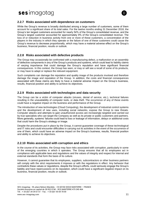

#### **2.2.7 Risks associated with dependence on customers**

While the Group's revenue is broadly distributed among a large number of customers, some of them account for a significant share of its total sales. For the twelve months ending 31 December 2018, the Group's ten largest customers accounted for nearly 54% of the Group's consolidated revenue, and the Group's largest customer accounted for approximately 9% of the Group's consolidated revenue. The loss of or reduction in business activity from one or more of these customers, a concentration of the players in the industry in which they operate or the failure of one of these customers could cause the Group's revenue to decrease proportionally, which may have a material adverse effect on the Group's business, financial position, results or outlook.

#### **2.2.8 Risks associated with defective products**

The Group may occasionally be confronted with a manufacturing defect, a malfunction or an assembly of defective components in any of the Group's products and systems, which could lead to liability claims of varying importance that could damage the Group's reputation and have significant financial consequences. In this context, the Group has seen, or may or will see a recall of some of its products, or may have to adapt or replace the relevant equipment.

Such complaints can damage the reputation and quality image of the products involved and therefore damage the image and reputation of the Group. In addition, the costs and financial consequences associated with these claims are likely to have a material adverse impact on the Group's business, results, financial position and ability to achieve its objectives.

#### **2.2.9 Risks associated with technologies and data security**

The Group can be a victim of computer attacks (viruses, denial of service, etc.), technical failures resulting in the unavailability of computer tools, or data theft. The occurrence of any of these events could have a negative impact on the business and performance of the Group.

The introduction of new technologies (Cloud Computing), the development of industrial control systems and the development of new uses, including social networks, expose the Group to new threats. Computer attacks and attempts to gain unauthorized access are increasingly targeted and carried out by true specialists who can target the Company as well as its private or public customers and partners. More generally, systems' failures could lead to loss or leakage of information, delays or additional costs that could harm the Group's strategy or image.

Despite the procedures put in place by the Group, it cannot guarantee coverage of these technological and IT risks and could encounter difficulties in carrying out its activities in the event of the occurrence of one of them, which could have an adverse impact on the Group's business, results, financial position and ability to achieve its objectives.

#### **2.2.10 Risks associated with corruption and ethics**

In the course of its activities, the Group may face risks associated with corruption, particularly in some of the emerging countries in which it operates. The Group ensures that all its employees act in compliance with applicable laws and regulations and the values of integrity and respect for internal and external standards that form the basis of its culture.

However, it cannot guarantee that its employees, suppliers, subcontractors or other business partners will comply with the strict requirements it imposes or with the requlations in effect. Any behavior that contradicts these values or regulations, despite the Group's efforts, could seriously engage the Group's liability and have repercussions on its reputation, which could have a significant negative impact on its business, financial position, results or outlook.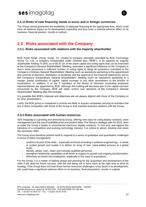

#### **2.2.11 Risks of new financing needs in euros and in foreign currencies**

The Group cannot guarantee the availability of adequate financing at the appropriate time, which could have an adverse impact on its development capacities and thus have a material adverse effect on its business, financial position, results or outlook.

### <span id="page-11-0"></span>**2.3 Risks associated with the Company**

#### **2.3.1. Risks associated with relations with the majority shareholder**

BOE Smart Retail (Hong Kong) Co. Limited (a company ultimately controlled by BOE Technology Group Co, Ltd., a company incorporated under Chinese law) ("BOE"), in its capacity as majority shareholder holding 74.36%, as of 06.30.19, of the share capital and voting rights that can be exercised at the Company's General Shareholders' Meeting, exercises a significant influence on the Company in that it alone possesses a sufficient number of voting rights to adopt all resolutions submitted to the Company's Ordinary General Shareholders' Meeting (such as resolutions pertaining to the appointment and removal of directors, distribution of dividends and the approval of the financial statements) and to the Company's Extraordinary General Shareholders' meeting (such as resolutions pertaining to a merger, partial contribution of capital, capital increase or any other amendment to the Articles of Association). In addition, 5 of the 9 members of the Board of Directors (excluding employee representatives) are appointed by BOE. Although this holding will decrease due to the capital increase announced by the Company, BOE will retain control over decisions of the Company's General Shareholders' Meeting after the increase.

It is possible that BOE's interests and objectives are not always aligned with those of the Company or its other shareholders.

Lastly, the BOE group or companies it controls are likely to acquire companies carrying on activities that are in direct competition with those of the Group or that maintain business relations with the Group.

#### **2.3.2 Risks associated with human resources**

SES-imagotag is a growing and diversifying Group, offering new ways for using display solutions, store management and the use of available price and product data. The Group's strategic plan for 2022, aims to make the Group a leader in omnichannel electronic display solutions. To this end, and against the backdrop of a competitive and evolving technology industry, it is critical to attract, develop and retain the necessary skills.

The Group must therefore position itself to respond to a series of qualitative and quantitative challenges in terms of talent management:

- $>$  reinforce its pool of the skills especially technical (including in software engineering) it needs to sustain growth and enable it to deliver an array of new, value-added services at a global scale;
- identify, attract, train, retain and motivate qualified personnel;
- strengthen leadership capabilities at all levels to support its growth and ongoing transformation;
- effectively on-board new employees, especially in the case of acquisitions.

For the Group, it is a matter of looking ahead and planning for the acquisition and development of the skills it will need for future success, with the risk being not to have them at the right time to drive its strategy. If the Group does not meet these human resources challenges, a key factor in its development, this could have a significant adverse effect on its business, financial position, results or outlook.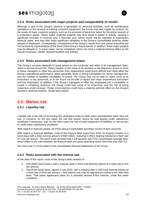

#### **2.3.3 Risks associated with major projects and comparability of results**

Although a part of the Group's revenue is generated by recurring activities, such as maintenance operations or the renewal of existing customer equipment, the Group may also supply its products for the needs of major customer projects, such as the provision of electronic labels for the entire network of a customer's stores. These major customer projects may thus result in peaks in activity, causing a significant increase in revenue over a financial year, which would not be repeated in subsequent financial years, and may then imply significant variations in the Group's consolidated revenue, either upward or downward. Consequently, comparisons of the Group's results from one period to another are not necessarily representative of the trend of the Group's future results. In addition, these major projects may be delayed or, in some cases, not be completed, which can have a material adverse effect on the Group's business, results, financial position and outlook.

#### **2.3.4 Risks associated with management teams**

The Group's success depends to some extent on the continuity and skills of its management team, which is formed around Mr. Thierry Gadou. In the event of an accident or the departure of one or more of these managers or other key personnel, their replacement could prove difficult and could affect the Group's operational performance. More generally, there is strong competition for senior management, and the number of qualified candidates is limited. The Group may not be able to retain some of its executives or key personnel, or in the future not be able to attract and retain experienced executives and key employees. In addition, if the Group's managers or other key employees join a competitor or create a competing business, the Group could lose some of its know-how, and the risk of losing customers could increase. These circumstances could have a material adverse effect on the Group's business, financial position, results and outlook.

### <span id="page-12-0"></span>**2.4 Market risk**

#### **2.4.1 Liquidity risk**

Liquidity risk is the risk of not having the necessary funds to meet one's commitments when they are due. It concerns, on the one hand, the risk that assets cannot be sold quickly under satisfactory conditions if necessary, and, on the other hand, the risk of early repayment of liabilities or non-access to credit under satisfactory conditions.

With regard to financial assets, all of the Group's marketable securities consist of term accounts.

With regard to financial liabilities, most of the Group's debt (apart from IFRS 16 impact) consists of a bond issue with a total nominal amount of €40 million, maturing in 2023, bearing interest at a fixed rate of 3.5% per annum. The bond issue provides that it will become due if the consolidated leverage ratio, which refers to the ratio between net financial debt and gross operating result, becomes less than 3.5.

See also note 11 of the Notes to the consolidated financial statements of the Group.

#### **2.4.2 Risks associated with the interest rate**

At the date of this report, most of the Group's debt consists of

- One  $€40m$  bond issues, with a maturity date in 2023 and bearing interest at a fixed rate (3.5% per annum)
- One €10m bond issue, signed in July 2019, with a maturity date in 2025 and bearing interest at a fixed rate (4.55% per annum) – that interest rate may be adjusted according to the debt ratio lever. That same agreement plans for a potential second €10m tranche, under the same conditions.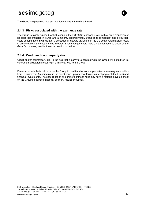

The Group's exposure to interest rate fluctuations is therefore limited.

#### **2.4.3 Risks associated with the exchange rate**

The Group is highly exposed to fluctuations in the EUR/USD exchange rate, with a large proportion of its sales denominated in euros and a majority (approximately 80%) of its component and production costs denominated in US dollars. Consequently, upward variations in the US dollar automatically result in an increase in the cost of sales in euros. Such changes could have a material adverse effect on the Group's business, results, financial position or outlook.

#### **2.4.4 Credit and counterparty risk**

Credit and/or counterparty risk is the risk that a party to a contract with the Group will default on its contractual obligations resulting in a financial loss to the Group.

Financial assets that could expose the Group to credit and/or counterparty risks are mainly receivables from its customers (in particular in the event of non-payment or failure to meet payment deadlines) and financial investments. The occurrence of one or more of these risks may have a material adverse effect on the Group's business, financial position, results or outlook.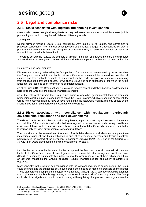

### **2.5 Legal and compliance risks**

#### **2.5.1 Risks associated with litigation and ongoing investigations**

the normal course of doing business, the Group may be involved in a number of administrative or judicial proceedings for which it may be held liable on different grounds.

#### Tax litigation

During previous financial years, Group companies were subject to tax audits, and sometimes to proposed corrections. The financial consequences of these tax charges are recognized by way of provisions for amounts notified and accepted or considered likely to result in an outflow of resources and which can be reliably determined.

The Group periodically reviews the estimate of this risk in the light of changes in controls and disputes and considers that no ongoing controls will have a significant impact on its financial position or liquidity.

#### Commercial and labor disputes

Disputes are regularly reviewed by the Group's Legal Department and are covered by provisions when the Group considers that it is probable that an outflow of resources will be required to cover the risk incurred and that a reliable estimate of this amount can be made. Inapplicable reversals stem mainly from the resolution of these disputes, for which the Group has been successful or for which the actual amount of the loss has been lower than its estimated amount.

As at 30 June 2019, the Group set aside provisions for commercial and labor disputes, as described in note 10 to the Group's consolidated financial statements.

As of the date of this report, the Group is not aware of any other governmental, legal or arbitration proceedings (including any proceedings of which the Group is aware, which are ongoing or of which the Group is threatened) that may have or have had, during the last twelve months, material effects on the financial position or profitability of the Company or the Group.

#### **2.5.2 Risks associated with compliance with regulations, particularly environmental regulations and their developments**

The Group's activities are subject to various regulations, in particular with regard to the compliance and compatibility of the products it sells with their own regulations, as well as industrial, safety, health and environmental standards. The environmental risks associated with the Group's business are mainly due to increasingly stringent environmental laws and regulations.

The provisions on the removal and treatment of end-of-life electrical and electronic equipment are increasingly stringent and their application is subject to ever more rigorous and frequent controls, particularly in the context of the European Parliament's Directive 2012/19/EU and of the Council of 4 July 2012 on waste electrical and electronic equipment ("WEEE").

Despite the procedures implemented by the Group and the fact that the environmental risks are not limited to the Group's business, it cannot guarantee environmental risk coverage and could encounter difficulties in carrying out its activities in the event of the occurrence of any of them, which could have an adverse impact on the Group's business, results, financial position and ability to achieve its objectives.

More generally, in the event of non-compliance with the laws and regulations applicable to it, the Group could be fined, and the authorities could even prohibit the placing of marketed products on the market. These standards are complex and subject to change and, although the Group pays particular attention to compliance with applicable regulations, it cannot exclude any risk of non-compliance. The Group could also incur significant costs in order to comply with regulatory changes and cannot guarantee that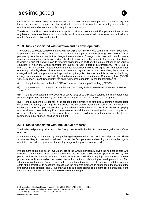

it will always be able to adapt its activities and organization to these changes within the necessary time limits. In addition, changes in the application and/or interpretation of existing standards by administrations and/or courts are also likely to occur at any time.

The Group's inability to comply with and adapt its activities to new national, European and international regulations, recommendations and standards could have a material ad- verse effect on its business, results, financial position and outlook.

#### **2.5.3 Risks associated with taxation and its developments**

The Group is subject to complex and evolving tax legislation in the various countries in which it operates. In particular, because of its international activity, it is subject to transfer pricing rules, which can be particularly complex and subject to divergent interpretations. Changes in tax legislation could have a material adverse effect on its tax position, its effective tax rate or the amount of taxes and other levies to which it is subject, as well as on its reporting obligations. In addition, the tax regulations of the various countries in which the Group operates are subject to very different interpretations. The Group is therefore not in a position to guarantee that the tax authorities involved will agree with its interpretation of the applicable legislation. Furthermore, tax laws and regulations or other compulsory levies may be changed and their interpretation and application by the jurisdictions or administrations involved may change, in particular in the context of joint initiatives taken at international or Community level (OECD, G20, European Union). Specifically, the ongoing incorporation into French tax legislation of

(i) the principles set out by the OECD on base erosion and profit shifting ("BEPS"),

(ii) the Multilateral Convention to Implement Tax Treaty Related Measures to Prevent BEPS of 7 June 2017,

(iii) the rules provided in the Council Directive (EU) of 12 July 2016 establishing rules against tax avoidance practices that directly affect the functioning of the internal market ("ATAD") and

(iv) the provisions provided for in the proposal for a directive to establish a common consolidated corporate tax base ("CCCTB") could increase the corporate income tax burden on the Group. A challenge to the Group's tax position by the relevant authorities could result in the Group paying additional taxes, potentially significant reassessments and fines or increasing the costs of its products or services for the purpose of collecting such taxes, which could have a material adverse effect on its business, results, financial position and outlook.

#### **2.5.4 Risks associated with intellectual property**

The intellectual property risk to which the Group is exposed is the risk of counterfeiting, whether suffered or active.

Infringement may be committed by third parties against patented products or industrial processes. These actions are likely to have an immediate impact on the Group's sales and earnings and may damage its reputation and, where applicable, the quality image of the products concerned.

Infringement could also be an involuntary act of the Group, particularly given the risk associated with the length of time during which patent applications are not made public. Patent applications filed by third parties and known only at the time of their publication could affect ongoing developments or even products recently launched on the market due to the continuous shortening of development times. This situation would force the Group to modify the product and thus increase the research and development costs of the project, or to negotiate rights to use the patented element. In either case, the margin of the project would be affected. The Group may also be subject to claims from patent trolls, particularly in the United States and Russia and in the field of new technologies.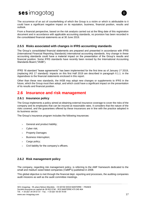

The occurrence of an act of counterfeiting of which the Group is a victim or which is attributable to it could have a significant negative impact on its reputation, business, financial position, results and outlook.

From a financial perspective, based on the risk analysis carried out at the filing date of this registration document and in accordance with applicable accounting standards, no provision has been recorded in the consolidated financial statements as at 30 June 2019.

#### **2.5.5 Risks associated with changes in IFRS accounting standards**

The Group's consolidated financial statements are prepared and presented in accordance with IFRS (International Financial Reporting Standards) international accounting standards. Any change in these accounting standards could have a material impact on the presentation of the Group's results and financial position. Some IFRS standards have recently been revised by the International Accounting Standards Board ("IASB").

IFRS 16 standard "lease agreements" has been implemented for the first time as of January 1<sup>st</sup> 2019, (replacing IAS 17 standard): impacts on this first Half 2019 are described in paragraph II.1.1. in the Appendixes to the financial statements enclosed in this report.

Other than these new standards, the IASB may adopt new changes or supplements to IFRS in the future, which the Group must then adopt, and which could have a significant impact on the presentation of its results and financial position.

### **2.6 Insurance and risk management**

#### **2.6.1 Insurance policy**

The Group implements a policy aimed at obtaining external insurance coverage to cover the risks of the company and its employees that can be insured at reasonable rates. It considers that the nature of the risks covered, and the guarantees offered by these insurances are in line with the practice adopted in its business sector.

The Group's insurance program includes the following insurances:

- > General and product liability;
- > Cyber risk;
- > Property Damages
- > Business Interruption;
- > Cargo policy;
- $>$  Civil liability for the company's officers.

#### **2.6.2 Risk management policy**

The company, regarding risk management policy, is referring to the AMF framework dedicated to the small and medium sized listed companies (VaMP's) published in 2008.

This global objective is met through the financial dept. reporting and processes, the auditing companies audit missions as well as the audit committee meetings.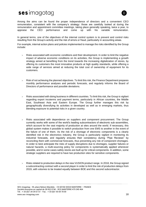

Among the aims can be found the proper independence of directors and a convenient CEO remuneration, consistent with the company's strategy: those are carefully looked at during the remuneration and appointment committee meetings, taking place generally speaking, twice a year, to appraise the CEO performance and come up with his variable remuneration.

In general terms, one of the objectives of the internal control system is to prevent and control risks resulting from the Group's activity and the risk of errors or fraud, particularly in accounting areas.

For example, internal action plans and policies implemented to manage the risks identified by the Group include:

- Risks associated with economic conditions and their development. In order to limit the negative impact of adverse economic conditions on its activities, the Group is implementing a growth strategy aimed at benefiting from the trend towards the increasing digitalization of stores, by offering its customers the most innovative products at high quality standards, while offering a wide range of services aimed at reducing the total cost of ownership of equipment for its customers.
- $>$  Risk of not achieving the planned objectives. To limit this risk, the Finance Department prepares monthly performance analyses and periodic forecasts, and regularly informs the Board of Directors of performance and possible deviations.
- Risks associated with doing business in different countries. To limit this risk, the Group is vigilant regarding export incoterms and payment terms, particularly in African countries, the Middle East, Southeast Asia and Eastern Europe. The Group further manages this risk by geographically diversifying its activities in developed as well as in emerging markets, thus blending exposure to potential risks in a given country.
- Risks associated with dependence on suppliers and component procurement. The Group currently works with some of the world's leading subcontractors of electronic sub-assemblies, which account for the vast majority of production at sites around the world. If necessary, this global system makes it possible to switch production from one EMS to another in the event of the failure of one of them. As the risk of a shortage of electronic components is a clearly identified risk in the electronics industry, the Group is particularly vigilant in monitoring its industrial forecasts, and regularly ensures their consistency during "Pipe Reviews" by reconciling them with commercial forecasts, thus preventing any risk of component shortages. In order to best anticipate the risks of supply disruptions due to shortages, supplier failures or natural hazards, a multi-sourcing policy for components is systematically applied whenever possible, and in some cases safety stocks are built up for critical components. In addition, some strategic suppliers are required to have two production sites for sensitive components.
- Risks related to production delays in the new VUSION product range. In 2018, the Group signed a subcontracting contract with a second player in order to limit the risk of production delays from 2019, with volumes to be treated equally between BOE and this second subcontractor.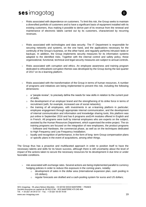

- Risks associated with dependence on customers. To limit this risk, the Group seeks to maintain a diversified portfolio of customers and to have a significant basis of equipment installed with its existing customers, thus making it possible to derive part of its revenue from the renewal and maintenance of electronic labels carried out by its customers, characterized by recurring revenues.
- $>$  Risks associated with technologies and data security. The IT Department is responsible for securing networks and systems, on the one hand, and the applications necessary for the continuity of the Group's business, on the other hand, and regularly performs intrusion tests or backups. In addition, the Group implements security measures for its information systems adapted to the identified risks. Together with the internal control and safety policy, these organizational, functional, technical and legal security measures are subject to annual controls.
- Risks associated with corruption and ethics. An employee awareness and training program dedicated to ethical/anti-corruption themes was developed by the Group during the last quarter of 2017 on its e-learning platform.
- $>$  Risks associated with the transformation of the Group in terms of human resources. A number of programs and initiatives are being implemented to prevent this risk, including the following dimensions:
	- $\circ$  a "people review", to precisely define the needs for new skills in relation to the current pool of skills;
	- $\circ$  the development of an employer brand and the strengthening of its strike force in terms of recruitment (with, for example, increased use of social networks);
	- o the training of all employees, with investments in an e-learning platform in particular; employee engagement through appropriate internal communication, and the development of internal communication and information and knowledge sharing tools; this platform was put online in September 2016 and has 6 programs and144 modules offered in English and in French. All programs were built by internal employees who are experts on the subject, assisted by the Human Resources Department, which supervised the entire project. The six training programs are focused on the integration of new employees, the product programs – Software and Hardware, the commercial phase, as well as on the techniques dedicated to High Frequency and Low Frequency Installation;
	- o loyalty and recognition of performance, in the form of long- term Group compensation plans or specific plans in the event of acquisitions, among other things.

The Group thus has a proactive and multifaceted approach in order to position itself to have the necessary talents and skills for its future success, although there is still uncertainty about the level of impact of the actions taken to secure the necessary resources for its development in due time or under favorable conditions.

- risk associated with exchange rates. Several actions are being implemented parallel to currency hedging policies in order to reduce this exposure in the coming years, notably:
	- $\circ$  development of sales in the dollar area (international expansion plan, cash pooling in US dollars).
	- $\circ$  regular forecasts are drafted and a cash-pooling system for euros and US dollars;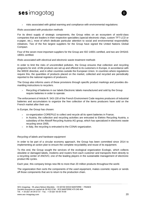

risks associated with global warming and compliance with environmental regulations:

#### *Risks associated with production methods*

For its direct supply of strategic components, the Group relies on an ecosystem of world-class companies that are leaders in their respective specialties (special electronic chips, custom TFT-LCD or e-paper, etc.), most of which dedicate particular attention to social and environmental responsibility initiatives. Two of the five largest suppliers for the Group have signed the United Nations Global Compact.

Four of the seven most important suppliers for the Group are ISO 14001 certified, and two are OHSAS 18001 certified.

#### *Risks associated with electrical and electronic waste treatment methods*

In order to limit the risks of uncontrolled pollution, the Group ensures that collection and recycling programs for end- of-life products are set up and offered to its customers in Europe, in accordance with the WEEE directive, and in other countries outside the European Union. In countries where regulations require this, the quantities of products placed on the market, collected and recycled are periodically reported to the national registers of producers.

The Group also informs users of these provisions through specific product markings and provides dismantling instructions to recyclers.

 Recycling of batteries in our labels Electronic labels manufactured and sold by the Group require batteries in order to operate.

The enforcement of Article R. 543-130 of the French Environment Code requires producers of industrial batteries and accumulators to organize the free collection of the items producers have sold on the French market after their use.

In Europe, the Group has chosen:

- co-organization COREPILE to collect and recycle all its spent batteries in France;
- in Austria, the collection and recycling activities are entrusted to Elektro Recycling Austria, a subsidiary of the Altstoff Recycling Austria AG group, which has specialized in electronic waste recycling since 2005;
- in Italy, the recycling is entrusted to the CONAI organization.

#### *Recycling of labels and hardware equipment*

In order to be part of a circular economy approach, the Group has been committed since 2014 to implementing an action plan to ensure the complete recyclability and reuse of its equipment.

To this end, the Group sought the services of the ecological organization Ecologic, which collects obsolete or damaged labels, modems and routers from each customer and transports them directly to a recycling center of ANOVO, one of the leading players in the sustainable management of electronic product life cycles.

Each year, this company brings new life to more than 20 million products throughout the world.

The organization then sorts the components of the used equipment, makes cosmetic repairs or sends off those components that are to return to the production chain.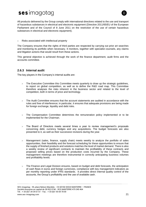

All products delivered by the Group comply with international directives related to the use and transport of hazardous substances in electrical and electronic equipment (Directive 2011/65/EU of the European Parliament and of the Council of 8 June 2011 on the restriction of the use of certain hazardous substances in electrical and electronic equipment).

Risks associated with intellectual property

The Company ensures that the rights of third parties are respected by carrying out prior art searches and monitoring its portfolio when necessary. It monitors, together with specialist counsels, any claims and litigation actions that would result from these actions.

This general objective is achieved through the work of the finance department, audit firms and the accounts committee.

#### **2.6.3 Internal audit**

The key players in the Company's internal audits are:

- The Executive Committee this Committee meets quarterly to draw up the strategic guidelines, to report on global competition, as well as to define the R&D road map. This Committee therefore analyses the risks inherent in the business sector and related to the level of competition, both in terms of price and technology.
- $>$  The Audit Committee ensures that the account statements are audited in accordance with the rules and free of interference; in particular, it ensures that adequate provisions are being made for foreign exchange, liquidity and debt risks.
- The Compensation Committee determines the remuneration policy implemented or to be implemented for the Chairman.
- $>$  The Board of Directors meets several times a year to review management's proposals concerning debt, currency hedges and any acquisitions. The budget forecasts are also presented to it, as well as their successive revisions during the year.
- Management (sales, finance, supply chain) meets weekly to analyze the portfolio of sales opportunities, their feasibility and the forecast scheduling for these opportunities to ensure that the supply of finished products and solutions matches the level of market demand. There is also a weekly review of significant contracts to maintain the profitability of these contracts and proposed selling prices based on the production costs incurred by the Company. These management meetings are therefore instrumental in correctly anticipating business volumes and profitability levels.
- The Finance and Legal Division ensures, based on budget and debt forecasts, the anticipation of cash flows in euros and foreign currencies, compliance with key management indicators as per monthly reporting under IFRS standards. It provides direct internal quality control of the accounts, the Group's profitability and the use of available cash.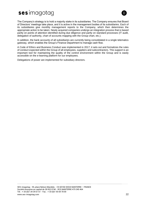

The Company's strategy is to hold a majority stake in its subsidiaries. The Company ensures that Board of Directors' meetings take place, and it is active in the management bodies of its subsidiaries. Each of its subsidiaries give monthly management reports to the Company, which then determines the appropriate action to be taken. Newly acquired companies undergo an integration process that is based partly on points of attention identified during due diligence and partly on standard processes (IT audit, delegation of authority, chart of accounts mapping with the Group chart, etc.).

In addition, the bank accounts of all subsidiaries are currently being consolidated in a single telematics gateway, which enables the Group's Finance Department to manage cash flow.

A Code of Ethics and Business Conduct was implemented in 2017; it sets out and formalizes the rules of conduct expected within the Group of all employees, suppliers and subcontractors. This support is an important tool for maintaining the quality of the control environment within the Group and is easily accessible on the e-learning platform for our employees.

Delegations of power are implemented for subsidiary directors.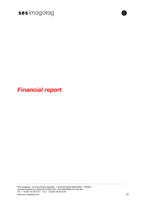



m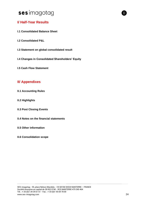### **I/ Half-Year Results**

- **I.1 Consolidated Balance Sheet**
- **I.2 Consolidated P&L**
- **I.3 Statement on global consolidated result**
- **I.4 Changes in Consolidated Shareholders' Equity**
- **I.5 Cash Flow Statement**

### **II/ Appendixes**

- **II.1 Accounting Rules**
- **II.2 Highlights**
- **II.3 Post Closing Events**
- **II.4 Notes on the financial statements**
- **II.5 Other information**
- **II.6 Consolidation scope**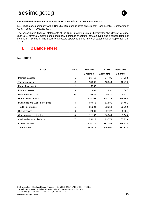

#### **Consolidated financial statements as of June 30th 2019 (IFRS Standards)**

SES-imagotag, a company with a Board of Directors, is listed on Euronext Paris Eurolist (Compartment C, ISIN code FR 0010282822).

The consolidated financial statements of the SES- imagotag Group (hereinafter "the Group") at June 30th 2019 cover a 6-month period and show a balance sheet total of €302,479 k and a consolidated net income of - €4,962 k. The Board of Directors approved these financial statements on September 18, 2019.

### <span id="page-24-0"></span>**I. Balance sheet**

#### **I.1 Assets**

| € '000                           | <b>Notes</b> | 30/06/2019 | 31/12/2018 | 30/06/2018 |
|----------------------------------|--------------|------------|------------|------------|
|                                  |              | 6 months   | 12 months  | 6 months   |
| Intangible assets                | 1            | 96 452     | 94 405     | 94 718     |
| Tangible assets                  | $\mathbf{2}$ | 13 563     | 13849      | 12419      |
| Right of use asset               | $\mathbf{2}$ | 7556       |            |            |
| <b>Financial assets</b>          | 3            | 1 0 0 1    | 891        | 847        |
| Deferred taxes assets            | 22           | 9635       | 9571       | 8671       |
| <b>Non Current Assets</b>        |              | 128 208    | 118716     | 116 655    |
| Inventories and Work In Progress | 4            | 68 078     | 81881      | 64 451     |
| <b>Trade Receivables</b>         | 5            | 65 224     | 72 254     | 52 568     |
| <b>Current Taxes</b>             | 6            | 2881       | 2727       | 3531       |
| Other current receivables        | 6            | 12 158     | 10844      | 9943       |
| Cash and cash equivalents        | 7            | 25 9 29    | 29 578     | 35 730     |
| <b>Current Assets</b>            |              | 174 270    | 197 285    | 166 223    |
| <b>Total Assets</b>              |              | 302 479    | 316 001    | 282 878    |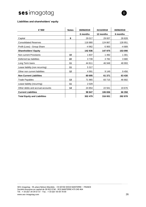#### **Liabilities and shareholders' equity**

| € '000                              | <b>Notes</b> | 30/06/2019 | 31/12/2018 | 30/06/2018 |
|-------------------------------------|--------------|------------|------------|------------|
|                                     |              | 6 months   | 12 months  | 6 months   |
| Capital                             | 8            | 29 017     | 29 007     | 28 8 28    |
| <b>Consolidated Reserves</b>        |              | 118 880    | 124 867    | 128 951    |
| Profit (Loss) - Group Share         |              | $-4962$    | $-5900$    | $-4689$    |
| <b>Shareholders' Equity</b>         |              | 142 936    | 147 975    | 153 090    |
| Non current Provisions              | 10           | 1837       | 1 4 9 2    | 1 301      |
| Deferred tax liabilities            | 22           | 3739       | 3782       | 3680       |
| Long Term loans                     | 11           | 44 811     | 46 948     | 48 993     |
| Lease liability (non recurring)     | 11           | 5 3 1 7    |            |            |
| Other non current liabilities       | 12           | 4 9 9 1    | 9 1 4 9    | 9456       |
| <b>Non Current Liabilities</b>      |              | 60 695     | 61 371     | 63 430     |
| <b>Trade Payables</b>               | 13           | 71 965     | 83715      | 46 682     |
| Lease liability (recurring)         | 11           | 2029       |            |            |
| Other debts and accrual accounts    | 14           | 24 854     | 22 941     | 19676      |
| <b>Current Liabilities</b>          |              | 98 847     | 106 656    | 66 358     |
| <b>Total Equity and Liabilities</b> |              | 302 479    | 316 001    | 282878     |

 $\Pi$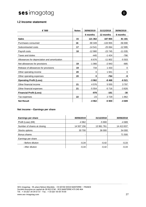### **I.2 Income statement**

| € '000                                       | <b>Notes</b> | 30/06/2019 | 31/12/2018 | 30/06/2018 |
|----------------------------------------------|--------------|------------|------------|------------|
|                                              |              | 6 months   | 12 months  | 6 months   |
| <b>Sales</b>                                 | 15           | 121 362    | 187 855    | 81 181     |
| Purchases consumed                           | 16           | -90 349    | -133 955   | -56 690    |
| Subcontracted costs                          | 17           | $-14541$   | $-25064$   | $-12995$   |
| Payroll costs                                | 18           | $-12980$   | $-23745$   | $-11035$   |
| Taxes and duties                             |              | $-445$     | $-1424$    | -786       |
| Allowances for depreciation and amortization |              | $-6676$    | $-11802$   | $-5503$    |
| Net allowances for provisions                | 19           | $-1066$    | $-2943$    | $-685$     |
| Release of allowances for provisions         | 19           | 734        | 1 4 3 3    | 0          |
| Other operating income                       | 20           | 0          | 1941       | 0          |
| Other operating expenses                     | 20           | $\bf{0}$   | -764       | -9         |
| <b>Operating Profit (Loss)</b>               |              | $-3962$    | $-8468$    | $-6521$    |
| Other financial income                       | 21           | 4576       | 5 5 5 5    | 3797       |
| Other financial expenses                     | 21           | $-5554$    | $-5716$    | $-3826$    |
| <b>Financial Profit (Loss)</b>               |              | $-978$     | $-161$     | -30        |
| Tax expenses                                 | 22           | $-23$      | 2729       | 1862       |
| <b>Net Result</b>                            |              | -4 962     | $-5900$    | -4 689     |

#### **Net income – Earnings per share**

| <b>Earnings per share</b>   | 30/06/2019 | 31/12/2018 | 30/06/2018 |
|-----------------------------|------------|------------|------------|
| Profit (Loss) ( $K€$ )      | $-4962$    | -5 900     | $-4689$    |
| Number of shares at closing | 14 507 156 | 13 961 761 | 14 413 837 |
| Stocks options              | 30 700     | 36 000     | 54 000     |
| Bonus shares                |            |            | 71 500     |
| Earnings per share          |            |            |            |
| - Before dilution           | $-0,34$    | $-0.42$    | $-0,33$    |
| - After dilution            | $-0,34$    | $-0,42$    | $-0.33$    |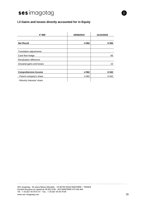### **I.3 Gains and losses directly accounted for in Equity**

| € '000                        | 30/06/2019 | 31/12/2018 |
|-------------------------------|------------|------------|
|                               |            |            |
| <b>Net Result</b>             | -4 962     | -5 900     |
|                               |            |            |
| Translation adjustments       |            |            |
| Cash flow hedge               |            | -65        |
| <b>Revaluation difference</b> |            |            |
| Actuarial gains and losses    |            | 22         |
|                               |            |            |
| <b>Comprehensive Income</b>   | -4 962     | $-5942$    |
| - Parent company's share      | -4 962     | -5 942     |
| - Minority Interests' share   |            |            |

 $\mathbf{H}$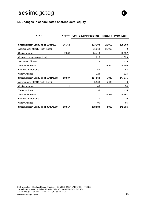#### **I.4 Changes in consolidated shareholders' equity**

| € '000                                | Capital | <b>Other Equity Instruments</b> | <b>Reserves</b> | Profit (Loss) |
|---------------------------------------|---------|---------------------------------|-----------------|---------------|
| Shareholders' Equity as of 12/31/2017 | 26768   | 123 208                         | $-21069$        | 128 908       |
| Appropriation of 2017 Profit (Loss)   |         | $-21069$                        | 21 069          | 0             |
| Capital Increase                      | 2 2 3 8 | 24 4 19                         |                 | 26 657        |
| Change in scope (acquisition)         |         | $-1620$                         |                 | $-1620$       |
| Self owned Shares                     |         | 119                             |                 | 119           |
| 2018 Profit (Loss)                    |         |                                 | $-5900$         | $-5900$       |
| <b>Financial Instruments</b>          |         | $-65$                           |                 | $-65$         |
| <b>Other Changes</b>                  |         | $-124$                          |                 | -124          |
| Shareholders' Equity as of 12/31/2018 | 29 007  | 124 868                         | $-5900$         | 147 975       |
| Appropriation of 2018 Profit (Loss)   |         | $-5900$                         | 5 9 0 0         | 0             |
| Capital Increase                      | 11      | 43                              |                 | 54            |
| <b>Treasury Shares</b>                |         | $-35$                           |                 | $-35$         |
| 2019 Profit (Loss)                    |         |                                 | $-4962$         | $-4962$       |
| <b>Financial Instruments</b>          |         | $\Omega$                        |                 | 0             |
| <b>Other Changes</b>                  |         | $-96$                           |                 | -96           |
| Shareholders' Equity as of 06/30/2019 | 29 017  | 118 880                         | -4 962          | 142 936       |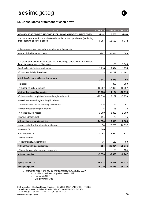#### **I.5 Consolidated statement of cash flows**

| € '000                                                                                                              | 30/06/2019 | 31/12/2018 | 30/06/2018 |
|---------------------------------------------------------------------------------------------------------------------|------------|------------|------------|
| <b>CONSOLIDATED NET INCOME (INCLUDING MINORITY INTERESTS)</b>                                                       | -4 962     | $-5900$    | -4 689     |
| +/- Net allowances for amortization/depreciation and provisions (excluding<br>those relating to current assets)     | 6 2 8 7    | 12 5 8 3   | 6642       |
| +/- Calculated expenses and income related to stock options and similar instruments                                 |            |            |            |
| -/+ Other calculated income and expenses                                                                            | $-207$     | $-1014$    | 1 0 4 6    |
| -/+ Gains and losses on disposals (from exchange difference in ifrs p&l and<br>financial instrument profit or loss) |            | -65        | $-1045$    |
| Cash flow after cost of net financial debt and tax                                                                  | 1 1 1 8    | 5 604      | 1955       |
| +/- Tax expense (including deferred taxes)                                                                          | 23         | $-2729$    | $-1862$    |
| = Cash flow after cost of net financial debt and taxes                                                              | 1 1 4 1    | 2876       | 93         |
| - Taxes paid                                                                                                        |            | 390        | 390        |
| +/- Change in wcr related to operations                                                                             | 10 097     | $-17399$   | $-18597$   |
| = Net cash flow generated from operations                                                                           | 11 238     | $-14134$   | $-18115$   |
| - Disbursements related to acquisitions of tangible and intangible fixed assets (1)                                 | $-10614$   | $-13132$   | -5 759     |
| + Proceeds from disposals of tangible and intangible fixed assets                                                   |            |            |            |
| - Disbursements related to the acquisition of long-term investments                                                 | $-115$     | -99        | -51        |
| + Proceeds from disposals of long-term investments                                                                  | 6          | 25         | 22         |
| +/- Impact of changes in scope                                                                                      | $-3860$    | $-3332$    | $-2500$    |
| + Investment subsidies received                                                                                     | -111       | -78        | -75        |
| = Net cash flow from investing activities                                                                           | $-14694$   | $-16616$   | $-8363$    |
| + Amounts received from shareholders during capital increases                                                       | 54         | 26 705     | 26 537     |
| + Loan issues (1)                                                                                                   | 2840       |            |            |
| + Loan repayments (1)                                                                                               | $-3052$    | $-4920$    | $-2877$    |
| - Dividend distribution                                                                                             |            |            |            |
| -/+ Treasury share buybacks and resales                                                                             | $-35$      | 119        | -83        |
| = Net cash flow from financing activities                                                                           | $-194$     | 21 904     | 23 576     |
| +/- Impact of changes in foreign currency exchange rates                                                            |            | $-53$      | 154        |
| = Change in cash flow                                                                                               | $-3650$    | -8 899     | $-2747$    |
|                                                                                                                     |            |            |            |
| Opening cash position                                                                                               | 29 578     | 38 478     | 38 478     |
| <b>Closing cash position</b>                                                                                        | 25 9 29    | 29 578     | 35730      |

<span id="page-29-0"></span>*(1) Including impact of IFRS 16 first application on January 2019*

- Acquisitions of tangible and intangible fixed assets for 3.1M €
- Loan issues for 2.8M  $\epsilon$
- Loan repayments for 0.9M €

SES-imagotag - 55, place Nelson Mandela - CS 60106 92024 NANTERRE – FRANCE Société Anonyme au capital de 28 832 074€ - RCS NANTERRE 479 345 464 Tél. : + 33 (0)1 34 34 61 61 - Fax. : + 33 (0)1 55 69 78 00 www.ses-imagotag.com 30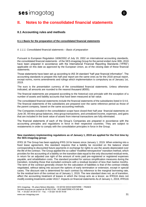

### **II. Notes to the consolidated financial statements**

#### **II.1 Accounting rules and methods**

#### **II.1.1 Basis for the preparation of the consolidated financial statements**

#### *II. 1.1.1. Consolidated financial statements – Basis of preparation*

Pursuant to European Regulation 1606/2002 of July 19, 2002 on international accounting standards, the consolidated financial statements of the SES-imagotag Group for the period ended June 30th, 2019 have been prepared in accordance with the International Financial Reporting Standards ("IFRS") applicable on this date as approved by the European Union, as of the closing date of these financial statements.

Those statements have been set up according to IAS 34 standard "half year financial information". The accounting standards to prepare this half year report are the same ones as for the 2018 annual report, except norms, norms amendments and rulings which implementation is compulsory as of January 1st, 2019.

The euro is the presentation currency of the consolidated financial statements. Unless otherwise indicated, all amounts are rounded to the nearest thousand (€000).

The financial statements are prepared according to the historical cost principle with the exception of a number of assets and liability accounts that have been measured at fair value.

The consolidated financial statements include the financial statements of the subsidiaries listed in § II.6. The financial statements of the subsidiaries are prepared over the same reference period as those of the parent company, based on the same accounting methods.

The Companies included in the consolidation scope have closed their half year financial statements on June 30. All intra-group balances, intra-group transactions, and unrealized income, expenses, and gains that are included in the book value of assets from internal transactions are fully eliminated.

The financial statements of each of the Group's Companies are prepared in accordance with the accounting principles and regulations in force in their respective countries. They are subject to restatements in order to comply with the consolidation principles in force in the Group.

#### **New mandatory implementing regulations as of January 1, 2019 are applied for the first time by the SES-imagotag group:**

IFRS 16 The Group has been applying IFRS 16 for leases since January 1, 2019. When entering into a fixed lease agreement, this standard requires that a liability be recorded on the balance sheet corresponding to discounted future payments in exchange for rights to use the assets depreciated over the life of the contract. The Group applied the so-called "modified retrospective" transition method, which provides for the accounting of a liability on the transition date equal to the only discounted residual rents, in return for an adjusted use right of the amount of rents paid pre-registered or registered expenses payable, and rehabilitation costs. The standard provided for various simplification measures during the transition, including those that excluded contracts with a residual duration of less than twelve months. The term of the contract generally chosen for the calculation of liabilities is that of the contract initially negotiated, without taking into account the options of early termination or extension, except in special cases. The discount rate is determined for each contract by reference to the marginal borrowing rate, for the residual term of the contract as of January 1, 2019. The new standard does not, as of transition, affect the accounting treatment of leases in which the Group acts as a lessor, as IFRS16 does not modify existing treatments under IAS17. Impacts on financial statements As of January 1, 2019, IFRS16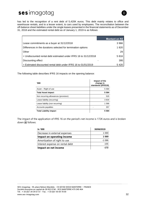has led to the recognition of a rent debt of 5,420K euros. This debt mainly relates to office and warehouse rentals, and to a lesser extent, to cars used by employees. The reconciliation between the off-balance sheet liabilities under the single leases presented in the financial statements as of December 31, 2018 and the estimated rental debt as of January 1, 2019 is as follows:

|                                                                  | Montant en $K \in$ |
|------------------------------------------------------------------|--------------------|
| Lease commitments as a buyer at 31/12/2018                       | 3966               |
| Differences in the durations selected for termination options    | 1 820              |
| Other                                                            | 29                 |
| = Undiscounted rental debt estimated under IFRS 16 to 31/12/2018 | 5 816              |
| Discounting effect                                               | 395                |
| $=$ Estimated discounted rental debt under IFRS 16 to 01/01/2019 | 5420               |

The following table describes IFRS 16 impacts on the opening balance:

| <b>000</b> '                         | Impact of the<br>change in<br>standards (IFRS16) |
|--------------------------------------|--------------------------------------------------|
| Asset – Right of use                 | 5 5 8 4                                          |
| <b>Total Asset impact</b>            | 5584                                             |
| Non recurring allowances (provision) | 520                                              |
| Lease liability (recurring)          | 3834                                             |
| Lease liability (non recurring)      | 1586                                             |
| Accounts payables                    | 357                                              |
| <b>Total Liability impact</b>        | 5 5 8 4                                          |

The impact of the application of IFRS 16 on the period's net income is 172K euros and is broken down as follows:

| In '000                         | 30/06/2019 |
|---------------------------------|------------|
| Decrease in external expenses   | 1 0 6 9    |
| Impact on operating income      | 1069       |
| Amortization of right to use    | $-1086$    |
| Interest expense on rental debt | $-155$     |
| Impact on net income            | -172       |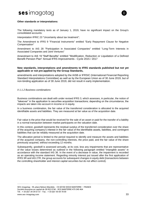



#### **Other standards or interpretations:**

The following mandatory texts as of January 1, 2019, have no significant impact on the Group's consolidated accounts:

Interpretation IFRIC 23 "Uncertainty about tax treatment";

The Amendment to IFRS 9 "Financial Instruments" entitled "Early Repayment Clause for Negative Compensation"

Amendment to IAS 28 "Participation in Associated Companies" entitled "Long-Term Interests in Associated Companies and Joint Ventures"

Amendment to IAS 19 "Staff Benefits" entitled "Modification, Reduction or Liquidation of a Defined Benefit Pension Plan" Annual IFRS Improvements - Cycle 2015 / 2017

#### **New standards, interpretations and amendments to IFRS standards published but not yet applicable or not pre-applied by the Group Standards,**

amendments and interpretations adopted by the IASB or IFRSIC (International Financial Reporting Standard Interpretations Committee) as well as by the European Union as of 30 June 2019, but of non-binding application as of 30 June 2019, did not result in early implementation.

#### *II 1.1.2 Business combinations*

Business combinations are dealt with under revised IFRS 3, which assesses, in particular, the notion of "takeover" in the application to securities acquisition transactions; depending on the circumstance, the impacts are taken into account in income or in equity.

In a business combination, the fair value of the transferred consideration is allocated to the acquired identifiable assets and liabilities. They are measured at fair value as of the acquisition date.

Fair value is the price that would be received for the sale of an asset or paid for the transfer of a liability in a normal transaction between market participants on the valuation date.

In this context, goodwill represents the residual surplus of the transferred consideration over the share of the acquiring company's interest in the fair value of the identifiable assets, liabilities, and contingent liabilities that can be reliably measured at the acquisition date.

The allocation period is limited to the period required to identify and measure the assets and liabilities of the acquired company, the non-controlling interests, the price paid, and the fair value of the share previously acquired, without exceeding 12 months.

Subsequently, goodwill is assessed annually, at its cost, less any impairments that are representative of the value losses determined as outlined in the following paragraph entitled "intangible assets" in accordance with the standard IAS 36. In the event of a decrease in value, the impairment is recorded as an operating income statement. Regarding minority interest put issued after the first application of IFRS 3R and IAS 27R, the group accounts for subsequent changes in equity debt (transactions between the controlling shareholder and interest capital securities but do not affect control).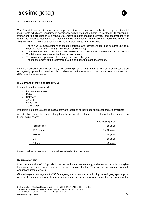

#### *II 1.1.3 Estimates and judgments*

The financial statements have been prepared using the historical cost basis, except for financial instruments, which are recognized in accordance with the fair value basis. As per the IFRS conceptual framework, the preparation of financial statements requires making estimates and assumptions that affect the amounts appearing on these financial statements. The significant estimates made by SES-imagotag for the preparation of the financial statements mainly relate to:

- The fair value measurement of assets, liabilities, and contingent liabilities acquired during a business acquisition (IFRS 3 - Business Combinations)
- The valuations used to test impairment losses, in particular the recoverable amount of goodwill
- The fair value measurement of financial instruments
- The valuation of provisions for contingencies and charges
- The measurement of the recoverable value of receivables and inventories.

Due to the uncertainties inherent in any assessment process, SES-imagotag revises its estimates based on regularly updated information. It is possible that the future results of the transactions concerned will differ from these estimates.

#### **II. 1.2 Intangible fixed assets (IAS 38)**

Intangible fixed assets include:

- > Development costs
- > Patents
- > Software
- $>$  An ERP
- Goodwills
- > Technologies.

Intangible fixed assets acquired separately are recorded at their acquisition cost and are amortized.

Amortization is calculated on a straight-line basis over the estimated useful life of the fixed assets, on the following bases:

|              | Amortization period |
|--------------|---------------------|
| Technologies | 15 years            |
| R&D expenses | 5 to 10 years       |
| Patents      | 10 years            |
| ERP          | 10 years            |
| Software     | 2 to 5 years        |
|              |                     |

No residual value was used to determine the basis of amortization.

#### **Depreciation test**

In accordance with IAS 36, goodwill is tested for impairment annually, and other amortizable intangible fixed assets are tested when there is evidence of a loss of value. This evidence is examined at each annual and interim closing.

Given the global management of SES-imagotag's activities from a technological and geographical point of view, it is impossible to al- locate assets and cash generation to clearly identified subgroups within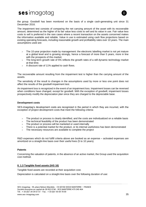

the group. Goodwill has been monitored on the basis of a single cash-generating unit since 31 December 2016.

The impairment test consists of comparing the net carrying amount of the asset with its recoverable amount, determined as the higher of its fair value less costs to sell and its value in use. Fair value less costs to sell is preferred in the rare cases where a recent transaction on the assets concerned makes the information available and reliable. Value in use is estimated using cash flow projections based on existing operating forecasts, including reasonable growth and profitability rates over 10 years. The main assumptions used are:

- The 10-year projection made by management: the electronic labelling market is not yet mature at a global level and is growing strongly, hence a forecast of more than 5 years, more in line with the prospects of this market;
- $>$  The long-term growth rate of 5% reflects the growth rates of a still dynamic technology market at that time;
- A discount rate of 11% applied to cash flows.

The recoverable amount resulting from the impairment test is higher than the carrying amount of the assets.

The sensitivity of the result to changes in the assumptions used by more or less one point does not affect the results of the goodwill impairment test.

An impairment loss is recognized in the event of an impairment loss. Impairment losses can be reversed when conditions have changed, except for goodwill. With the exception of goodwill, impairment losses prospectively modify the depreciation plan since they are charged to the depreciable base.

#### **Development costs**

SES-imagotag's development costs are recognized in the period in which they are incurred, with the exception of project development costs that meet the following criteria:

- The product or process is clearly identified, and the costs are individualized on a reliable basis
- > The technical feasibility of the product has been demonstrated
- > The product or process will be marketed or used internally
- $>$  There is a potential market for the product, or its internal usefulness has been demonstrated
- $>$  The necessary resources are available to complete the project

R&D expenses which do not fulfill criteria above are booked as an expense – activated expenses are amortized on a straight-line basis over their useful lives (5 to 10 years).

#### **Patents**

Concerning the valuation of patents, in the absence of an active market, the Group used the acquisition cost method.

#### **II. 1.3 Tangible fixed assets (IAS 16)**

Tangible fixed assets are recorded at their acquisition cost.

Depreciation is calculated on a straight-line basis over the following duration of use: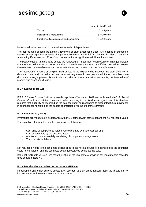

No residual value was used to determine the basis of depreciation.

The depreciation periods are annually reviewed at each accounting close. Any change in duration is treated as a prospective estimate change in accordance with IAS 8 "Accounting Policies, Changes in Accounting Estimates, and Errors" and results in the recognition of additional impairment.

The book values of tangible fixed assets are reviewed for impairment when events or changes indicate that the book value may not be recoverable. If there is any such index and if the book values exceed the estimated recoverable amount, the assets are written down to their recoverable amount.

The recoverable amount of tangible fixed assets is the higher value between the sale price net of disposal costs and the value in use. In assessing value in use, estimated future cash flows are discounted using a pre-tax discount rate that reflects current market assessments, the time value of money, and asset-specific risks.

#### **II. 1.4 Leases (IFRS 16)**

IFRS 16 "Lease Contract" will be required to apply as of January 1, 2019 and replaces the IAS17 "Rental Contracts" and interpretations standard. When entering into a fixed lease agreement, this standard requires that a liability be recorded on the balance sheet corresponding to discounted future payments, in exchange for rights to use the assets depreciated over the life of the contract;

#### **II. 1.5 Inventories (IAS 2)**

Inventories are measured in accordance with IAS 2 at the lowest of the cost and the net realizable value.

The valuation of finished products consists of the following:

- Cost price of components valued at the weighted average cost per unit
- Cost of assembly by the subcontractor
- Additional costs essentially consisting of component storage costs
- Transit costs for labels.

Net realizable value is the estimated selling price in the normal course of business less the estimated costs for completion and the estimated costs necessary to complete the sale.

If the net realizable value is less than the value of the inventory, a provision for impairment is recorded (see details in Note 4).

#### **II. 1.6 Receivables and other current assets (IFRS 9)**

Receivables and other current assets are recorded at their gross amount, less the provisions for impairment of estimated non-recoverable amounts.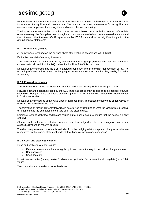

FRS 9 Financial Instruments issued on 24 July 2014 is the IASB's replacement of IAS 39 Financial Instruments: Recognition and Measurement. The Standard includes requirements for recognition and measurement, impairment, derecognition and general hedge accounting.

The impairment of receivables and other current assets is based on an individual analysis of the risks of non-recovery: the Group has been though a close historical analysis on non-recovered amounts and the outcome is that the new IAS 39 replacement by IFRS 9 standard has no significant impact on the group financial statements.

#### **II. 1.7 Derivatives (IFRS 9)**

All derivatives are valued on the balance sheet at fair value in accordance with IFRS 9

Derivatives consist of currency forwards.

The management of financial risks by the SES-imagotag group (interest rate risk, currency risk, counterparty risk, and liquidity risk) is described in Note 29 of this document.

Derivatives are contracted by the SES-imagotag group under its currency risk management policy. The recording of financial instruments as hedging instruments depends on whether they qualify for hedge accounting.

#### **II. 1.8 Forward purchases**

The SES-imagotag group has opted for cash flow hedge accounting for its forward purchases.

Forward exchange contracts used by the SES-imagotag group may be classified as hedges of future cash flows. Hedging future cash flows protects against changes in the value of cash flows denominated in foreign currencies.

Derivatives are measured at fair value upon initial recognition. Thereafter, the fair value of derivatives is re-estimated at each closing date.

The fair value of foreign currency forwards is determined by referring to what the Group would receive (or pay) to settle the outstanding contracts as of the closing date.

Efficiency tests of cash flow hedges are carried out at each closing to ensure that the hedge is highly effective.

Changes in the value of the effective portion of cash flow hedge derivatives are recognized in equity in a specific revaluation reserve account.

The discount/premium component is excluded from the hedging relationship, and changes in value are recognized on the income statement under "Other financial income and expenses."

#### **II. 1.9 Cash and cash equivalents**

Cash and cash equivalents include:

- $>$  Financial investments that are highly liquid and present a very limited risk of change in value
- > Bank accounts
- Cash accounts.

Investment securities (money market funds) are recognized at fair value at the closing date (Level 1 fair value).

Term deposits are recorded at amortized cost.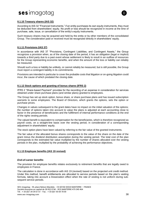

#### **II.1.10 Treasury shares (IAS 32)**

According to IAS 32 "Financial Instruments," if an entity purchases its own equity instruments, they must be deducted from shareholders' equity. No profit or loss should be recognized in income at the time of purchase, sale, issue, or cancellation of the entity's equity instruments.

Such treasury shares may be acquired and held by the entity or by other members of the consolidated Group. The consideration paid or received must be recognized directly in shareholders' equity.

#### **II.1.11 Provisions (IAS 37)**

In accordance with IAS 37 "Provisions, Contingent Liabilities, and Contingent Assets," the Group recognizes a provision when, as of the closing date of the period, it has an obligation (legal or implicit) towards a third party due to a past event whose settlement is likely to result in an outflow of resources for the Group representing economic benefits, and when the amount of the loss or liability can reliably be measured.

Should such a loss or liability be unlikely, or cannot reliably be measured, but is still possible, the Group must report a contingent liability in its commitments.

Provisions are intended in particular to cover the probable costs that litigation or on-going litigation could incur, the cause of which predated the closing date.

#### **II.1.12 Stock options and granting of bonus shares (IFRS 2)**

IFRS 2 "Share-based Payment" provides for the recording of an expense in consideration for services obtained under share purchase plans (and similar plans) granted to employees.

The Group has set up stock option, bonus share, or share purchase plans and has issued subscription warrants to some employees. The Board of Directors, which grants the options, sets the option or purchase prices.

Changes in values subsequent to the grant dates have no impact on the initial valuation of the options; the number of options taken into account to value the plans is adjusted at each accounting close to factor in the presence of beneficiaries and the fulfillment of internal performance conditions at the end of the rights vesting periods.

The valued benefit is equivalent to compensation for the beneficiaries, which is therefore recognized as payroll costs, on a straight-line basis over the vesting period, in consideration of a corresponding adjustment in shareholders' equity.

The stock option plans have been valued by referring to the fair value of the granted instruments.

The fair value of the allocated bonus shares corresponds to the value of the share on the date of the grant minus the dividend distribution assumption during the vesting period. The total cost of the plan corresponds to the estimated fair value multiplied by the number of shares allocated over the vesting periods in the plan, multiplied by the probability of achieving the performance objectives.

#### **II.1.13 Employee benefits (IAS 19 revised)**

#### *End-of-career benefits*

The provision for employee benefits relates exclusively to retirement benefits that are legally owed to employees in France.

The calculation is done in accordance with IAS 19 (revised) based on the projected unit credit method. Under this method, benefit entitlements are allocated to service periods based on the plan's vesting formula, taking into account a linearization effect when the rate of vesting is not uniform during subsequent service periods.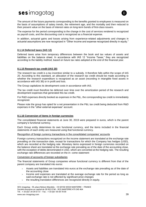

The amount of the future payments corresponding to the benefits granted to employees is measured on the basis of assumptions of salary trends, the retirement age, and the mortality and then reduced to their present value on the basis of interest rates on long-term bonds of first-class issuers.

The expense for the period corresponding to the change in the cost of services rendered is recognized as payroll costs, and the discounting cost is recognized as a financial expense.

In addition, actuarial gains and losses arising from experience-related adjustments and changes in actuarial assumptions are now recognized in "Other income and expense recognized directly in equity."

#### **II.1.14 Deferred taxes (IAS 12)**

Deferred taxes arise from temporary differences between the book and tax values of assets and liabilities on the balance sheet. In accordance with IAS 12 "Income Taxes," they are recognized according to the liability method, based on future tax rates adopted at the end of the financial year.

#### **II.1.15 Research tax credit (IAS 20)**

The research tax credit is a tax incentive similar to a subsidy. It therefore falls within the scope of IAS 20. According to this standard, an allocation of the research tax credit should be made according to whether the research expenditure is recognized as an asset (recording in intangible fixed assets in accordance with IAS 38) or in profit and loss.

The Group capitalizes its development costs in accordance with IAS.

The tax credit must therefore be deferred over time over the amortization period of the research and development expenses that generated this tax credit.

For R&D expenses directly booked as expenses in the P&L, the corresponding tax credit is immediately recognized.

Please note the group has opted for a net presentation in the P&L tax credit being deducted from R&D expenses in the "other external expenses" account.

#### **II.1.16 Conversion of items in foreign currencies**

The consolidated financial statements at June 30, 2019 were prepared in euros, which is the parent company's functional currency.

Each Group entity determines its own functional currency, and the items included in the financial statements of each entity are measured using that functional currency.

Recognition of foreign currency transactions in the consolidated companies' accounts

Foreign currency transactions recognized on the income statement are translated at the exchange rate prevailing on the transaction date, except for transactions for which the Company has hedges (USD), which are recorded at the hedging rate. Monetary items expressed in foreign currencies recorded on the balance sheet are translated at the exchange rate prevailing as of the date of the accounting close, with the exception of debts denominated in USD, which are converted at the hedging rate. The resulting exchange rate differences are recorded on the in- come statement

#### Conversion of accounts of foreign subsidiaries

The financial statements of Group companies whose functional currency is different from that of the parent company are translated into euros:

- Assets and liabilities are translated into euros at the exchange rate prevailing as of the date of the accounting close
- > Income and expenses are translated at the average exchange rate for the period as long as said exchange rate is not affected by significant price changes
- $>$  the resulting translation differences are recognized directly in equity.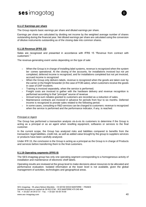

#### **II.1.17 Earnings per share**

The Group reports basic earnings per share and diluted earnings per share.

Earnings per share are calculated by dividing net income by the weighted average number of shares outstanding during the financial year. Net diluted earnings per share are calculated using the conversion of dilutive instruments outstanding as of the closing date into common shares.

#### **II.1.18 Revenue (IFRS 15)**

Sales are recognized and presented in accordance with IFRS 15 "Revenue from contract with customers"."

The revenue-generating event varies depending on the type of sale:

- > When the Group is in charge of installing label systems, revenue is recognized when the system be- comes operational. At the closing of the accounts, for installations invoiced but not yet completed, deferred income is recognized, and for installations completed but not yet invoiced, accrued income is recognized
- $>$  When the Group only delivers labels, revenue is recognized when the goods are taken over by the carrier or the freight forwarder (in the case of FOB sales), when customers receive the goods in case of DAP incoterm.
- $>$  Training is invoiced separately, when the service is performed;
- Freight costs are invoiced to gather with the hardware delivery and revenue recognition is performed according to that "principal" source of revenue
- Annual lump-sum rebates granted to customers are recorded as a reduction of sales.
- Maintenance contracts are invoiced in advance for periods from four to six months. Deferred income is recognized to prorate sales related to the following period.
- In some cases, consulting or R&D services can be charged to customers: revenue is recognized when the service is performed and the performance indicator, if any, is reached.

#### Principal or Agent

The Group has performed a transaction analysis vis-à-vis its customers to determine if the Group is acting as a principal or as an agent when reselling equipment, softwares or services to the final customer.

In the current scope, the Group has analyzed risks and liabilities compared to benefits from the transaction: legal liabilities, credit risk, as well as added value brought by the group to suppliers services or products have been carefully analyzed.

Under IFR 15, the conclusion is the Group is acting as a principal as the Group is in charge of Products and services before transferring them to the final customers.

#### **II.1.19 Operating segments (IFRS 8)**

The SES-imagotag group has only one operating segment corresponding to a homogeneous activity of installation and maintenance of electronic shelf labels.

Operating results are reviewed at the group level to make decisions about resources to be allocated and performance evaluation. Isolated information at the lower level is not available, given the global management of activities, technologies and geographical areas.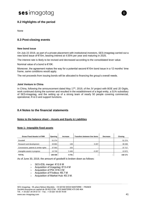

None

#### **II.3 Post-closing events**

#### **New bond issue**

On July 22 2019, as part of a private placement with institutional investors, SES-imagotag carried out a new bond issue of €10m, bearing interest at 4.55% per year and maturing in 2025.

The interest rate is likely to be revised and decreased according to the consolidated lever value.

Nominal value of a bond is €10K.

Moreover, the agreement makes the way for a potential second €10m bond issue in a 12 months' time frame, same conditions would apply.

The net proceeds from issuing bonds will be allocated to financing the group's overall needs.

#### **Joint Venture in China**

In China, following the announcement dated May 17<sup>th</sup>, 2019, of the JV project with BOE and JD Digits, work continued during the summer and resulted in the establishment of a legal entity, a 51% subsidiary of SES-imagotag, and the setting up of a strong team of nearly 50 people covering commercial, operational, R & D and support functions.

#### **II.4 Notes to the financial statements**

#### **Notes to the balance sheet – Assets and Equity & Liabilities**

#### **Note 1– Intangible fixed assets**

| Gross Fixed Assets in €'000           | <b>Opening</b> | <b>Increase</b> | Transfers between line items | Decrease | <b>Closing</b> |
|---------------------------------------|----------------|-----------------|------------------------------|----------|----------------|
| Goodwill                              | 51 274         |                 |                              |          | 51 274         |
| Research and development              | 33 863         | 139             | 5 2 0 7                      |          | 39 208         |
| Concessions, patents & similar rights | 37 563         | 153             |                              |          | 37 717         |
| Intangible assets in progress         | 13730          | 5449            | $-5207$                      |          | 13 972         |
| <b>TOTAL</b>                          | 136 430        | 5741            |                              | -        | 142 171        |

As of June 30, 2019, the amount of goodwill is broken down as follows:

- > SES-ESL merger:  $€12.6 M$
- Acquisition of Imagotag: €13.4 M
- Acquisition of PDi: €18.3 M
- $\textdegree$  Acquisition of Findbox:  $\textdegree$ 6.7 M
- Acquisition of Market Hub: €0.3 M.

SES-imagotag - 55, place Nelson Mandela - CS 60106 92024 NANTERRE – FRANCE Société Anonyme au capital de 28 832 074€ - RCS NANTERRE 479 345 464 Tél. : + 33 (0)1 34 34 61 61 - Fax. : + 33 (0)1 55 69 78 00 www.ses-imagotag.com 41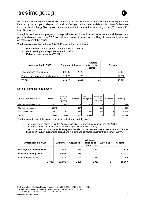

Research and development expenses represent the cost of the research and innovation expenditures incurred by the Group that allowed our product offering to be improved and diversified. Transfer between items deals with Jeegy Cloud project expenses' activation as well as launching of new Vusion and E tag ESL's range.

Intangible fixed assets in progress correspond to expenditures incurred for research and development projects, development of the ERP, as well as expenses incurred for the filing of patents not yet issued as of the close of the period.

The increase over the period of €5,449 K breaks down as follows:

- Research and development expenditure for €3,532 K
- $\text{ERP}$  development expenditure for  $\text{\large\ensuremath{\in}} 1,463 \text{ K}$
- > Patent expenditures for €262 K.

| Amortization in €'000                 | Opening | <b>Allowance</b> | <b>Transfers</b><br>between line<br>items | <b>Closing</b> |
|---------------------------------------|---------|------------------|-------------------------------------------|----------------|
| Research and development              | 30 705  | 2422             |                                           | 33 127         |
| Concessions, patents & similar rights | 11 3 20 | 1 272            |                                           | 12 5 9 2       |
| <b>TOTAL</b>                          | 42 0 25 | 3 6 9 4          |                                           | 45719          |

#### **Note 2– Tangible fixed assets**

| Gross Fixed Assets in €'000 | Opening | <b>IFRS 16</b><br>impact on<br>opening | Increase | Increase in<br>the right of<br>use | <b>Transfers</b><br>between<br>line items | Decrease | <b>Closing</b> |
|-----------------------------|---------|----------------------------------------|----------|------------------------------------|-------------------------------------------|----------|----------------|
| Buildings and improvements  | 2 1 7 7 | 4 9 5 1                                | 6        | 2575                               | 146                                       |          | 9855           |
| Machinery and equipment     | 19 975  |                                        | 467      |                                    | 216                                       |          | 20 659         |
| Other tangible assets       | 3677    | 633                                    | 345      | 484                                | $-362$                                    |          | 5776           |
| <b>TOTAL</b>                | 25 8 29 | 5 5 8 4                                | 1817     | 3059                               | 0                                         | 0        | 36 289         |

The increase in tangible assets over the period was mainly due to:

- The rental of new offices within the Austrian subsidiary, representing a right of use of  $\epsilon$ 2,397K;
- 
- > The rental of new computer equipment with a right to use of 386K euros;<br>> The purchase of tools and industrial equipment installed on the new nrow The purchase of tools and industrial equipment installed on the new production lines for a sum of €972K (including €412K of outstanding capital) and furniture and computer equipment for a sum of €369K.

| Amortization in €'000      | Opening | <b>Allowance</b> | <b>Allowance</b><br>relating to<br>right of use | <b>Write back</b> | <b>Closing</b> |
|----------------------------|---------|------------------|-------------------------------------------------|-------------------|----------------|
| Buildings and improvements | 849     | 274              | 813                                             |                   | 1936           |
| Machinery and equipment    | 9495    | 1639             |                                                 |                   | 11 134         |
| Other tangible assets      | 1 636   | 190              | 273                                             |                   | 2 0 9 9        |
| <b>TOTAL</b>               | 11 981  | 3 1 8 9          | 1086                                            | 0                 | 15 169         |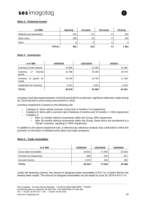#### **Note 3 – Financial Assets**

| In €'000                | <b>Opening</b> | <b>Increase</b> | <b>Decrease</b> | <b>Closing</b> |
|-------------------------|----------------|-----------------|-----------------|----------------|
| Deposits and guarantees | 512            | 91              | -6              | 597            |
| Other loans             | 380            | 24              |                 | 404            |
| Other                   |                |                 |                 |                |
| <b>TOTAL</b>            | 891            | 115             | -6              | 1 001          |

#### **Note 4 – Inventories**

| In € '000                              | 6/30/2019 | 12/31/2018 | 6/30/18  |
|----------------------------------------|-----------|------------|----------|
| Inventory of raw material              | 12 855    | 21 062     | 22 4 9 1 |
| finished<br>Inventory<br>οf<br>goods   | 32 386    | 45 290     | 33 0 79  |
| goods for<br>inventory<br>оf<br>resale | 26 249    | 18753      | 11 105   |
| Impairment for inventory               | $-3412$   | $-3224$    | $-2224$  |
| <b>TOTAL</b>                           | 68 078    | 81881      | 64 451   |

Inventory level decreased between 12/31/18 and 6/30/19 as planned, significant deliveries made during Q1 2019 had led to end-of-year procurement in 2018.

Inventory impairment is based on the following rule:

- Category A: items whose turnover is less than 6 months=>no impairment
- $>$  Category B: items with a turnover rate of between 6 months and 12 months =  $>$  50% impairment
- > Category C:
	- o After 12 months without movements within the Group, 80% impairment
	- $\circ$  After 18 months without movements within the Group, these items are transferred to a "Scrap" inventory, resulting in 100% impairment.

In addition to the above impairment rule, a reference-by-reference analysis was conducted to refine the provision on the basis of initiated action plans and sales prospects.

#### **Note 5 – Trade receivables**

| In € '000                | 6/30/2019 | 12/31/2018 | 6/30/2018 |
|--------------------------|-----------|------------|-----------|
| Gross trade receivables  | 63 922    | 71 954     | 52 616    |
| Provision for Impairment | -368      | $-233$     | $-311$    |
| Accrued Income           | 1 670     | 533        | 262       |
| <b>TOTAL</b>             | 65 224    | 72 254     | 52 568    |

Under the factoring contract, the amount of assigned trade receivables is €14.1m, of which €0.4m has already been repaid. The amount of assigned receivables not yet repaid at June 30, 2019 is €13.7 m.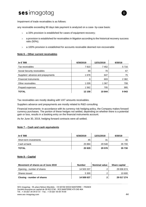

Impairment of trade receivables is as follows:

any receivable exceeding 90 days late payment is analyzed on a case- by-case basis:

- a 33% provision is established for cases of equipment recovery;
- a provision is established for receivables in litigation according to the historical recovery success ratio (50%);
- a 100% provision is established for accounts receivable deemed non-recoverable

#### **Note 6 – Other current receivables**

| In € '000                          | 6/30/2019 | 12/31/2018 | 6/30/18 |
|------------------------------------|-----------|------------|---------|
| Tax receivables                    | 7810      | 7452       | 5716    |
| Social Security receivables        | 69        | 70         | 67      |
| Suppliers' advance and prepayments | 1678      | 647        | 75      |
| <b>Financial Instruments</b>       | 0         | 603        | 2 3 8 2 |
| Other receivables                  | 1 0 3 9   | 1 3 6 7    | 708     |
| Prepaid expenses                   | 1 5 6 2   | 705        | 995     |
| <b>TOTAL</b>                       | 12 158    | 10844      | 9943    |

Tax receivables are mostly dealing with VAT amounts receivables.

Suppliers advance and prepayments are mostly related to R&D consulting

Financial instruments: in accordance with its currency risk hedging policy, the Company makes forward currency purchases. The portion of these hedges not settled, depending on whether there is a potential gain or loss, results in a booking entry on the financial instruments account.

As for June 30, 2019, hedging forward contracts were all settled.

#### **Note 7 – Cash and cash equivalents**

| In € '000              | 6/30/2019 | 12/31/2018 | 6/30/18 |
|------------------------|-----------|------------|---------|
| Short term investments | 45        | 31         | 30      |
| Cash at bank           | 25 8 84   | 29 548     | 35 700  |
| <b>TOTAL</b>           | 25 9 29   | 29 578     | 35 730  |

#### **Note 8 – Capital**

| Movement of shares as of June 2019 | <b>Number</b> | <b>Nominal value</b> | <b>Share capital</b> |
|------------------------------------|---------------|----------------------|----------------------|
| Opening - number of shares         | 14 503 337    | ົ                    | 29 006 674           |
| Shares issued                      | 5 300         | ⌒                    | 10 600               |
| Closing - number of shares         | 14 508 637    | 2                    | 29 017 274           |

SES-imagotag - 55, place Nelson Mandela - CS 60106 92024 NANTERRE – FRANCE Société Anonyme au capital de 28 832 074€ - RCS NANTERRE 479 345 464 Tél. : + 33 (0)1 34 34 61 61 - Fax. : + 33 (0)1 55 69 78 00 www.ses-imagotag.com 44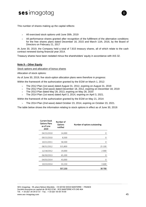

- All exercised stock options until June 30th, 2019
- All performance shares granted after recognition of the fulfillment of the alternative conditions for the free shares plans dated December 16, 2015 and March 11th, 2016, by the Board of Directors on February 21, 2017

At June 30, 2019, the Company held a total of 7,815 treasury shares, all of which relate to the cash contract renewed during financial year 2014.

Treasury shares have been restated minus the shareholders' equity in accordance with IAS 32.

#### **Note 9 – Other Equity**

Stock options and allocation of bonus shares

Allocation of stock options:

As of June 30, 2019, five stock-option allocation plans were therefore in progress:

Within the framework of the authorization granted by the EGM on March 1, 2012:

- $>$  The 2012 Plan (1st wave) dated August 31, 2012, expiring on August 31, 2019
- The 2012 Plan (2nd wave) dated December 18, 2012, expiring on December 18, 2019
- $>$  The 2013 Plan dated May 28, 2013, expiring on May 28, 2020
- The 2014 Plan (1st wave) dated April 3, 2014, expiring on April 3, 2021.

Within the framework of the authorization granted by the EGM on May 21, 2014:

The 2014 Plan (2nd wave) dated October 23, 2014, expiring on October 23, 2021.

The table below shows the information relating to stock options in effect as of June 30, 2019:

| <b>Current Stock</b><br><b>Options Plans</b><br>as of June<br>2019 | Number of<br>Options<br>notified | Number of options outstanding |
|--------------------------------------------------------------------|----------------------------------|-------------------------------|
| 04/15/2010                                                         | 14,000                           | 0                             |
| 09/15/2010                                                         | 8,500                            | 0                             |
| 10/21/2011                                                         | 58,500                           | 0                             |
| 08/31/2012                                                         | 315,800                          | 25 100                        |
| 12/18/2012                                                         | 19,000                           | 2 0 0 0                       |
| 06/30/2013                                                         | 65,200                           | 0                             |
| 04/03/2014                                                         | 43,000                           | 0                             |
| 10/23/2014                                                         | 33,150                           | 3 600                         |
|                                                                    | 557,150                          | 30 700                        |

SES-imagotag - 55, place Nelson Mandela - CS 60106 92024 NANTERRE – FRANCE Société Anonyme au capital de 28 832 074€ - RCS NANTERRE 479 345 464 Tél. : + 33 (0)1 34 34 61 61 - Fax. : + 33 (0)1 55 69 78 00 www.ses-imagotag.com 45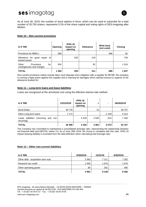As of June 30, 2019, the number of stock options in force, which can be used to subscribe for a total number of 30,700 shares, represents 0.2% of the share capital and voting rights of SES-imagotag after dilution.

#### **Note 10 – Non-current provisions**

| In € '000                                                      | Opening | <b>IFRS 16</b><br>impact on<br>opening | <b>Allowance</b> | <b>Write back</b><br>(not used) | <b>Closing</b> |
|----------------------------------------------------------------|---------|----------------------------------------|------------------|---------------------------------|----------------|
| Provisions for RMA's                                           | 568     |                                        |                  | -486                            | 82             |
| Allowance for good<br>repair of<br>leased assets               |         | 520                                    | 219              |                                 | 739            |
| Other<br><b>Provisions</b><br>for<br>contingencies and charges | 924     |                                        | 92               |                                 | 1 0 1 6        |
| <b>TOTAL</b>                                                   | 1492    | 520                                    | 311              | $-486$                          | 1837           |

Non-current provisions mainly include labor court disputes and a litigation with a supplier for €619K: the company is running a legal action against this supplier and is claiming for damages which claimed amount is superior to the allowance booked for.

#### **Note 11 – Long-term loans and lease liabilities**

Loans are recognized at the amortized cost using the effective interest rate method

| In € '000                                                | 12/31/2018 | <b>IFRS 16</b><br>impact on<br>opening | ٠    | -       | 06/30/2019 |
|----------------------------------------------------------|------------|----------------------------------------|------|---------|------------|
| <b>Bond Debts</b>                                        | 39 7 7 6   |                                        | 21   |         | 39 797     |
| Other Long term loans                                    | 7 1 7 2    |                                        |      | $-2159$ | 5 0 1 4    |
| liabilities<br>(recurring and non<br>Lease<br>recurring) |            | 5420                                   | 2840 | $-914$  | 7 3 4 6    |
| <b>TOTAL</b>                                             | 46 498     | 5420                                   | 2861 | $-3073$ | 52 157     |

The Company has committed to maintaining a consolidated leverage ratio, representing the relationship between net financial debt and EBITDA, below 3.5; as of June 30th 2019, the Group is compliant with this ratio. IFRS 16 impact (leasing liability) is excluded from the debt definition when calculating that leverage ratio.

#### **Note 12 – Other non-current liabilities**

| In € '000                          | 6/30/2019 | 12/31/18 | 6/30/2018 |
|------------------------------------|-----------|----------|-----------|
| Other debt - acquisition earn outs | 3 3 6 0   | 7 211    | 7 282     |
| Research tax credit                | 1565      | 1676     | 1679      |
| Other operating grants             | 66        | 262      | 495       |
| <b>TOTAL</b>                       | 4991      | 9 1 4 9  | 9456      |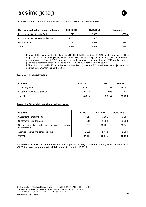

Variation on other non-current liabilities are broken down in the below table:

| <b>Earn outs and put on minority interests</b> | 06/30/2019 | 12/31/2018 | Variation |
|------------------------------------------------|------------|------------|-----------|
| Put on minority interests Findbox              | 620        | 2 6 2 0    | -2000     |
| Put on minority interests market Hub           | 2 000      | 2 000      |           |
| Earn out PDi                                   | 740        | 2 5 9 1    | -1851     |
| Total                                          | 3 3 6 0    | 7 211      | -3851     |

 Findbox (SES-imagotag Deutschland GmbH): EUR 2,000k paid in H1 2019 for the put on the 33% acquisition of SES-imagotag Deutschland GmbH, which was the subject of a firm and definitive agreement on the amount in August 2017; in addition, an addendum was signed in January 2019 on the terms of payment: outstanding amounts will be paid in 2020 and 2021 for €120K and €500K.

> PDi: €1,851K paid in H1 2019 for the earn out on the acquisition of PDi, which was the subject of a firm and final agreement in September 2018.

#### **Note 13 – Trade payables**

| In € '000                    | 6/30/2019 | 12/31/2018 | 6/30/18 |
|------------------------------|-----------|------------|---------|
| Trade payables               | 52 637    | 72 707     | 39 141  |
| Suppliers - accrued expenses | 19 3 27   | 11 008     | 7 541   |
| <b>TOTAL</b>                 | 71 965    | 83 715     | 46 682  |

#### **Note 14 – Other debts and accrual accounts**

| In € '000                                                                  | 6/30/2019 | 12/31/2018 | 30/06/2018 |
|----------------------------------------------------------------------------|-----------|------------|------------|
| Customers - prepayments                                                    | 4517      | 3 3 8 1    | 3 1 5 7    |
| Customers – credit notes                                                   | 911       | 1858       | 2583       |
| Social<br>liabilities.<br>pension<br>security<br>and<br>tax<br>commitments | 13 537    | 15 2 31    | 10 941     |
| Accrued income and other liabilities                                       | 5888      | 2472       | 2996       |
| <b>TOTAL</b>                                                               | 24 854    | 22 941     | 19676      |

Increase in accrued income is mostly due to a partial delivery of ESL's to a long term customer for a €2,820 K revenue amount – final deliveries will occur in H2 2019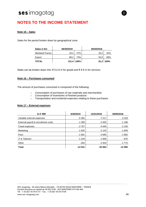### <span id="page-47-0"></span>**NOTES TO THE INCOME STATEMENT**

#### **Note 15 – Sales**

Sales for the period broken down by geographical zone:

| Sales in €m     | 06/30/2019 |            | 06/30/2018 |             |
|-----------------|------------|------------|------------|-------------|
| Mainland France | 33.2       | 27%        | 26.2       | 32%         |
| Export          | 88.2       | 73%        | 55,0       | 68%         |
| <b>TOTAL</b>    |            | 121,4 100% |            | 81,2   100% |

Sales can be broken down into: €112.8 m for goods and € 8.9 m for services.

#### **Note 16 – Purchases consumed**

The amount of purchases consumed is composed of the following:

- Consumption of purchases of raw materials and merchandise
- Consumption of inventories of finished products
- > Transportation and incidental expenses relating to these purchases.

#### **Note 17 – External expenses**

| In € '000                            | 6/30/2019 | 12/31/2018 | 30/06/2018 |
|--------------------------------------|-----------|------------|------------|
| Variable external expenses           | $-5382$   | $-7517$    | $-3429$    |
| External payroll & recruitment costs | $-1.308$  | $-2505$    | $-1188$    |
| Travel expenses                      | $-2767$   | $-4645$    | $-2194$    |
| Marketing                            | $-1820$   | $-2124$    | $-1659$    |
| Fees                                 | $-1681$   | $-3685$    | $-1882$    |
| IT & Telecom                         | $-1229$   | $-1669$    | $-870$     |
| Other                                | $-353$    | $-2919$    | $-1775$    |
| <b>Total</b>                         | $-14541$  | $-25064$   | $-12995$   |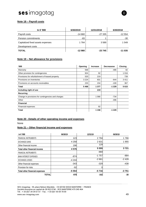

#### **Note 18 – Payroll costs**

| In € '000                         | 6/30/2019 | 12/31/2018 | 6/30/2018 |
|-----------------------------------|-----------|------------|-----------|
| Payroll costs                     | $-14660$  | $-27335$   | $-12554$  |
| Pension commitments               | -83       |            | $-30$     |
| Capitalized fixed assets expenses | 1 764     | 3589       | 1 549     |
| Development costs                 |           |            |           |
| <b>TOTAL</b>                      | $-12980$  | $-23745$   | $-11035$  |

#### **Note 19 – Net allowance for provisions**

| 000'                                               | Opening | <b>Increase</b> | Decreasese | <b>Closing</b> |
|----------------------------------------------------|---------|-----------------|------------|----------------|
| Warranty                                           | 568     |                 | -486       | 82             |
| Other provision for contingencies                  | 924     | 92              |            | 1016           |
| Provisions for refurbishment of leased property    | 520     | 219             |            | 739            |
| Provisions on inventories                          | 3 2 2 4 | 831             | $-644$     | 3411           |
| Provisions on accounts receivables                 | 233     | 234             | $-100$     | 367            |
| <b>Total</b>                                       | 5468    | 1 3 7 7         | $-1229$    | 5615           |
| Including right of use                             |         | 219             |            |                |
| Recurring                                          |         |                 |            |                |
| Change in provisions for contingencies and charges |         | 1 0 6 6         | -734       |                |
| Other                                              |         |                 | -496       |                |
| <b>Financial</b>                                   |         |                 |            |                |
| Financial expenses                                 |         | 92              |            |                |
| Total                                              |         | 1 1 5 8         | $-1229$    |                |

#### **Note 20 - Details of other operating income and expenses**

None

#### **Note 21 – Other financial income and expenses**

| in € '000                             | 06/30/19 | 12/31/18  | 06/30/18 |
|---------------------------------------|----------|-----------|----------|
| <b>FINANCIAL INSTRUMENTS</b>          | 123      | 2 7 9 4   | 1766     |
| <b>EXCHANGE GAINS</b>                 | 4 2 5 8  | 2631      | 1955     |
| Other financial income                | 196      | 129       |          |
| <b>Total other financial income</b>   | 4576     | 5 5 5 5 5 | 3721     |
| <b>FINANCIAL INSTRUMENTS</b>          |          | $-969$    |          |
| <b>BANK INTEREST EXPENSES</b>         | $-874$   | $-1757$   | $-884$   |
| <b>EXCHANGE LOSSES</b>                | $-4244$  | $-2661$   | $-2428$  |
| Other financial expenses              | $-343$   | $-329$    | $-438$   |
| Provision for risks                   | $-92$    | 0         |          |
| <b>Total other financial expenses</b> | $-5554$  | $-5716$   | $-3751$  |
| <b>TOTAL</b>                          | $-978$   | $-162$    | $-30$    |

SES-imagotag - 55, place Nelson Mandela - CS 60106 92024 NANTERRE – FRANCE Société Anonyme au capital de 28 832 074€ - RCS NANTERRE 479 345 464 Tél. : + 33 (0)1 34 34 61 61 - Fax. : + 33 (0)1 55 69 78 00 www.ses-imagotag.com 49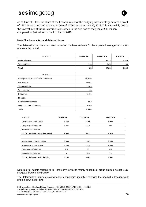

As of June 30, 2019, the share of the financial result of the hedging instruments generates a profit of 123K euros compared to a net income of 1,766K euros at June 30, 2018. This was mainly due to the low volume of futures contracts consumed in the first half of the year, at \$19 million compared to \$44 million in the first half of 2018.

#### **Note 22 – Income tax and deferred taxes**

The deferred tax amount has been based on the best estimate for the expected average income tax rate over the period.

| In € '000                             | 6/30/2019  | 12/31/2018 | 6/30/2018 |  |
|---------------------------------------|------------|------------|-----------|--|
| Deferred taxes                        | 97         | 3 0 9 3    | 1948      |  |
| <b>Tax Liabilities</b>                | $-120$     | $-365$     | $-86$     |  |
| <b>Total</b>                          | $-23$      | 2728       | 1862      |  |
| In € '000                             |            |            |           |  |
| Average Rate applicable for the Group | 28,00%     |            |           |  |
| Net Income                            | $-4962$    |            |           |  |
| Theoretical tax                       | 1 3 8 3    |            |           |  |
| Tax reported                          | $-23$      |            |           |  |
| Difference                            | $-1406$    |            |           |  |
| Impacts:                              |            |            |           |  |
| Permanent difference                  | 893        |            |           |  |
| Other - tax rate difference           | $-2299$    |            |           |  |
| <b>Total</b>                          | $-1406$    |            |           |  |
| In € '000<br>6/30/2019                | 12/31/2018 | 6/30/2018  |           |  |

| 8 2 6 9                  | 8 2 9 6 | 7952    |
|--------------------------|---------|---------|
| 1 3 6 6                  | 1 2 7 4 | 719     |
|                          |         |         |
| 9635                     | 9571    | 8671    |
|                          |         |         |
| 2 3 4 2                  | 2 3 4 2 | 2 4 3 9 |
| 1 2 3 8                  | 1 2 3 8 | 1 0 9 4 |
| 159                      | 33      | 131     |
| $\overline{\phantom{a}}$ | 169     | 15      |
| 3739                     | 3782    | 3680    |
|                          |         |         |

Deferred tax assets relating to tax loss carry-forwards mainly concern all group entities except SESimagotag Deutschland GmbH.

The deferred tax liabilities relating to the technologies identified following the goodwill allocation work broken down as follows: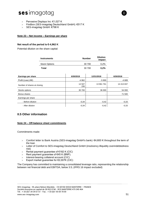- > Pervasive Displays Inc:  $€1,027$  K
- Findbox (SES-imagotag Deutschland GmbH): €517 K
- > SES-imagotag GmbH: €798 K

#### **Note 23 – Net income – Earnings per share**

#### **Net result of the period is €-4,962 K**

Potential dilution on the share capital:

| <b>Instruments</b>   | <b>Number</b> | <b>Dilution</b><br>impact |
|----------------------|---------------|---------------------------|
| <b>Stock Options</b> | 30 700        | 0.2%                      |
| Total                | 30 700        | 0.2%                      |

| Earnings per share          | 6/30/2019     | 12/31/2018 | 6/30/2018  |  |
|-----------------------------|---------------|------------|------------|--|
| Profit (Loss) (K€)          | $-4962$       | $-5900$    | -4 689     |  |
| Number of shares at closing | 14 507<br>156 | 13 961 761 | 14 413 837 |  |
| Stocks options              | 30 700        | 36 000     | 54 000     |  |
| Bonus shares                |               |            | 71 500     |  |
| Earnings per share          |               |            |            |  |
| - Before dilution           | $-0,34$       | $-0,42$    | $-0,33$    |  |
| - After dilution            | $-0,34$       | $-0,42$    | $-0.33$    |  |

#### **II.5 Other information**

#### **Note 24 – Off-balance sheet commitments**

Commitments made:

- Comfort letter to Bank Austria (SES-imagotag GmbH's bank): €4,600 K throughout the term of the loan
- Letter of Comfort to SES-imagotag Deutschland GmbH (insolvency illiquidity overindebtedness risk)
- > Rental payment guarantee of €182 K (CIC)
- > Rent payment guarantee of €45 K (BNP).
- > Interest-bearing collateral account (CIC)
- $\geq$  Export market guarantee for  $\epsilon$ 2,007K (CIC)

The Company has committed to maintaining a consolidated leverage ratio, representing the relationship between net financial debt and EBITDA, below 3.5; (IFRS 16 impact excluded)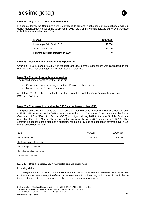

#### **Note 25 – Degree of exposure to market risk**

In financial terms, the Company is mainly exposed to currency fluctuations on its purchases made in dollars (approximately 80% of the volumes). In 2017, the Company made forward currency purchases to limit its currency risk over 2018.

| In €'000                          | 30/06/2019 |
|-----------------------------------|------------|
| Hedging portfolio @ 31.12.18      | 19 000     |
| Settled over H1 2019              | 19 000     |
| Forward purchase maturing in 2019 |            |

#### **Note 26 – Research and development expenditure**

Over the H1 2019 period, €3,859 K in research and development expenditure was capitalized on the balance sheet, including €3,720 K in fixed assets in progress.

#### **Note 27 – Transactions with related parties**

The related parties identified by the Group are:

- $>$  Group shareholders owning more than 10% of the share capital
- Members of the Board of Directors.

As of June 30, 2019, the amount of transactions completed with the Group's majority shareholder BOE, was €48.7 m.

#### **Note 28 – Compensation paid to the C.E.O and retirement plan (GSC)**

The gross compensation paid to the Chairman and Chief Executive Officer for the past period amounts to EUR 301K in respect of his 2019 fixed compensation and 2018 bonus. A contract under the Social Guarantee of Chief Executive Officers (GSC) was signed during 2012 to the benefit of the Chairman and Chief Executive Officer. The annual subscription for the year 2019 amounts to EUR 19k. This contract includes the basic plan and a supplemental plan, providing compensation coverage over a 12 month period (former plan).

| En€                          | 30/06/2019 | 30/06/2018 |
|------------------------------|------------|------------|
| Short term benefits          | 301 600    | 243 152    |
| Post employement benefits    |            |            |
| Other long term benefits     |            |            |
| End of contract compensation |            |            |

Share-based payments

#### **Note 29 – Credit liquidity, cash flow risks and Liquidity risks**

#### **Liquidity risks**

To manage the liquidity risk that may arise from the collectability of financial liabilities, whether at their contractual due date or early, the Group implements a cautious financing policy based in particular on the investment of its excess available cash in risk-free financial investments.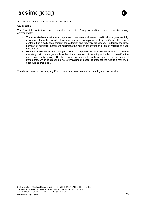



All short-term investments consist of term deposits.

#### **Credit risks**

The financial assets that could potentially expose the Group to credit or counterparty risk mainly correspond to:

- $>$  Trade receivables: customer acceptance procedures and related credit risk analyses are fully incorporated into the overall risk assessment process implemented by the Group. This risk is controlled on a daily basis through the collection and recovery processes. In addition, the large number of individual customers minimizes the risk of concentration of credit relating to trade receivables
- Financial investments: the Group's policy is to spread out its investments over short-term monetary instruments, generally for less than one month, in keeping with rules of diversification and counterparty quality. The book value of financial assets recognized on the financial statements, which is presented net of impairment losses, represents the Group's maximum exposure to credit risk.

The Group does not hold any significant financial assets that are outstanding and not impaired.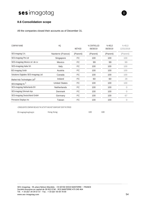### **II.6 Consolidation scope**

All the companies closed their accounts as of December 31.

| <b>COMPANYNAME</b>                       | HQ                   | <b>METHOD</b> | % CONTROLLED<br>06/30/19 | % HELD<br>06/30/19 | % HELD<br>12/31/2018 |
|------------------------------------------|----------------------|---------------|--------------------------|--------------------|----------------------|
| SES-imagotag S.A.                        | Nanterre (France)    | (Parent)      | (Parent)                 | (Parent)           | (Parent)             |
| SES-imagotag Pte Ltd                     | Singapore            | <b>FC</b>     | 100                      | 100                | 100                  |
| SES-imagotag Mexico srl. de cv           | Mexico               | <b>FC</b>     | 99                       | 99                 | 99                   |
| SES-imagotag Italia Srl.                 | Italy                | FC            | 100                      | 100                | 100                  |
| SES-imagotag Gmbh                        | Austria              | <b>FC</b>     | 100                      | 100                | 100                  |
| Solutions Digitales SES-imagotag Ltd     | Canada               | <b>FC</b>     | 100                      | 100                | 100                  |
| Market Hub Technologies Ltd <sup>1</sup> | Ireland              | <b>FC</b>     | 60                       | 60                 | 28                   |
| SES-imagotag Inc <sup>1</sup>            | <b>United States</b> | <b>FC</b>     | 100                      | 100                | 100                  |
| SES-imagotag Netherlands BV              | <b>Netherlands</b>   | <b>FC</b>     | 100                      | 100                | $\Omega$             |
| SES-imagotag DAnmark Aps.                | Denmark              | FC            | 100                      | 100                | 0                    |
| SES-imagotag Deutschland GmbH            | Germany              | FC            | 100                      | 100                | 67                   |
| Pervasive Displays Inc                   | Taiwan               | <b>FC</b>     | 100                      | 100                | $\Omega$             |

-CONSOLIDATED COMPANY BECAUSE THE ACTIVITY WAS NOT SIGNIFICANT OVER THE PERIOD

SES-imagotagHongKongLtc **Hong Kong** 100 100 100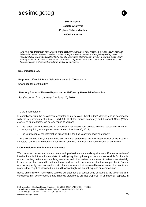

### **SES-imagotag Société Anonyme 55 place Nelson Mandela 92000 Nanterre**

*This is a free translation into English of the statutory auditors' review report on the half-yearly financial information issued in French and is provided solely for the convenience of English-speaking users. This report includes information relating to the specific verification of information given in the Group's half-yearly management report. This report should be read in conjunction with, and construed in accordance with, French law and professional standards applicable in France.*

#### **SES-imagotag S.A.**

Registered office: 55, Place Nelson Mandela - 92000 Nanterre

Share capital: €.29 053 874

#### **Statutory Auditors' Review Report on the Half-yearly Financial Information**

*For the period from January 1 to June 30, 2019*

#### To the Shareholders,

In compliance with the assignment entrusted to us by your Shareholders' Meeting and in accordance with the requirements of article L. 451-1-2 III of the French Monetary and Financial Code ("*Code monétaire et financier*"), we hereby report to you on:

- the review of the accompanying condensed half-yearly consolidated financial statements of SESimagotag S.A., for the period from January 1 to June 30, 2019,
- the verification of the information presented in the half-yearly management report.

These condensed half-yearly consolidated financial statements are the responsibility of the Board of Directors. Our role is to express a conclusion on these financial statements based on our review.

#### **I. Conclusion on the financial statements**

We conducted our review in accordance with professional standards applicable in France. A review of interim financial information consists of making inquiries, primarily of persons responsible for financial and accounting matters, and applying analytical and other review procedures. A review is substantially less in scope than an audit conducted in accordance with professional standards applicable in France and consequently does not enable us to obtain assurance that we would become aware of all significant matters that might be identified in an audit. Accordingly, we do not express an audit opinion.

Based on our review, nothing has come to our attention that causes us to believe that the accompanying condensed half-yearly consolidated financial statements are not prepared, in all material respects, in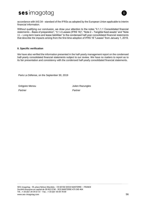

accordance with IAS 34 - standard of the IFRSs as adopted by the European Union applicable to interim financial information.

Without qualifying our conclusion, we draw your attention to the notes "II.1.1.1 Consolidated financial statements – Basis of preparation", "II.1.4 Leases (IFRS 16)", "Note 2 – Tangible fixed assets" and "Note 11 – Long-term loans and lease liabilities" to the condensed half-year consolidated financial statements that describe the impacts arising from the first-time adoption of IFRS 16 "Leases" from January 1, 2019.

#### **II. Specific verification**

We have also verified the information presented in the half-yearly management report on the condensed half-yearly consolidated financial statements subject to our review. We have no matters to report as to its fair presentation and consistency with the condensed half-yearly consolidated financial statements.

Paris La Défense, on the September 30, 2019

Grégoire Menou **Manuel Accounting Server Accounting Server Accounting Server Accounting Server Accounting Server Accounting Server Accounting Server Accounting Server Accounting Server Accounting Server Accounting Server A** *Partner Partner*